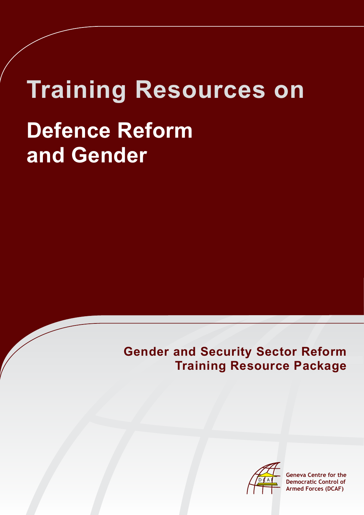# **Training Resources on Defence Reform and Gender**

# **Gender and Security Sector Reform Training Resource Package**



**Geneva Centre for the Democratic Control of Armed Forces (DCAF)**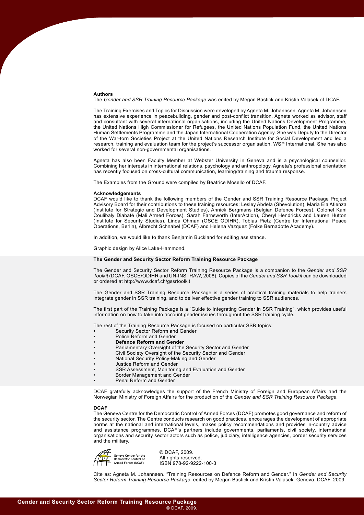#### **Authors**

The *Gender and SSR Training Resource Package* was edited by Megan Bastick and Kristin Valasek of DCAF.

The Training Exercises and Topics for Discussion were developed by Agneta M. Johannsen. Agneta M. Johannsen has extensive experience in peacebuilding, gender and post-conflict transition. Agneta worked as advisor, staff and consultant with several international organisations, including the United Nations Development Programme, the United Nations High Commissioner for Refugees, the United Nations Population Fund, the United Nations Human Settlements Programme and the Japan International Cooperation Agency. She was Deputy to the Director of the War-torn Societies Project at the United Nations Research Institute for Social Development and led a research, training and evaluation team for the project's successor organisation, WSP International. She has also worked for several non-governmental organisations.

Agneta has also been Faculty Member at Webster University in Geneva and is a psychological counsellor. Combining her interests in international relations, psychology and anthropology, Agneta's professional orientation has recently focused on cross-cultural communication, learning/training and trauma response.

The Examples from the Ground were compiled by Beatrice Mosello of DCAF.

#### **Acknowledgements**

DCAF would like to thank the following members of the Gender and SSR Training Resource Package Project Advisory Board for their contributions to these training resources: Lesley Abdela (Shevolution), Maria Ela Atienza (Institute for Strategic and Development Studies), Annick Bergmans (Belgian Defence Forces), Colonel Kani Coulibaly Diabaté (Mali Armed Forces), Sarah Farnsworth (InterAction), Cheryl Hendricks and Lauren Hutton (Institute for Security Studies), Linda Ohman (OSCE ODIHR), Tobias Pietz (Centre for International Peace Operations, Berlin), Albrecht Schnabel (DCAF) and Helena Vazquez (Folke Bernadotte Academy).

In addition, we would like to thank Benjamin Buckland for editing assistance.

Graphic design by Alice Lake-Hammond.

#### **The Gender and Security Sector Reform Training Resource Package**

The Gender and Security Sector Reform Training Resource Package is a companion to the *Gender and SSR Toolkit* (DCAF, OSCE/ODIHR and UN-INSTRAW, 2008). Copies of the *Gender and SSR Toolkit* can be downloaded or ordered at<http://www.dcaf.ch/gssrtoolkit>

The Gender and SSR Training Resource Package is a series of practical training materials to help trainers integrate gender in SSR training, and to deliver effective gender training to SSR audiences.

The first part of the Training Package is a "Guide to Integrating Gender in SSR Training", which provides useful information on how to take into account gender issues throughout the SSR training cycle.

The rest of the Training Resource Package is focused on particular SSR topics:

- **[Security Sector Reform and Gender](http://www.gssrtraining.ch/index.php?option=com_content&view=article&id=19&Itemid=23&lang=en)**
- [Police Reform and Gender](http://www.gssrtraining.ch/index.php?option=com_content&view=article&id=129&Itemid=24&lang=en)
- **[Defence Reform and Gender](http://www.gssrtraining.ch/index.php?option=com_content&view=article&id=34&Itemid=25&lang=en)**
- [Parliamentary Oversight of the Security Sector and Gender](http://www.gssrtraining.ch/index.php?option=com_content&view=article&id=116&Itemid=29&lang=en)
- [Civil Society Oversight of the Security Sector and Gender](http://www.gssrtraining.ch/index.php?option=com_content&view=article&id=17&Itemid=31&lang=en)
- [National Security Policy-Making and Gender](http://www.gssrtraining.ch/index.php?option=com_content&view=article&id=102&Itemid=30&lang=en)
- [Justice Reform and Gender](http://www.gssrtraining.ch/index.php?option=com_content&view=article&id=75&Itemid=26&lang=en)
- SSR Assessment, Monitoring and Evaluation and Gender
- [Border Management and Gender](http://www.gssrtraining.ch/index.php?option=com_content&view=article&id=151&Itemid=28&lang=en)
- [Penal Reform and Gender](http://www.gssrtraining.ch/index.php?option=com_content&view=article&id=150&Itemid=27&lang=en)

DCAF gratefully acknowledges the support of the French Ministry of Foreign and European Affairs and the Norwegian Ministry of Foreign Affairs for the production of the *Gender and SSR Training Resource Package.*

#### **DCAF**

The Geneva Centre for the Democratic Control of Armed Forces (DCAF) promotes good governance and reform of the security sector. The Centre conducts research on good practices, encourages the development of appropriate norms at the national and international levels, makes policy recommendations and provides in-country advice and assistance programmes. DCAF's partners include governments, parliaments, civil society, international organisations and security sector actors such as police, judiciary, intelligence agencies, border security services and the military.



 © DCAF, 2009. All rights reserved. ISBN 978-92-9222-100-3

Cite as: Agneta M. Johannsen. "Training Resources on Defence Reform and Gender." In *Gender and Security Sector Reform Training Resource Package*, edited by Megan Bastick and Kristin Valasek. Geneva: DCAF, 2009.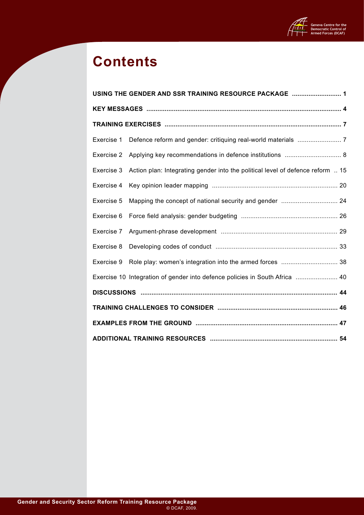

# **Contents**

| USING THE GENDER AND SSR TRAINING RESOURCE PACKAGE  1 |                                                                                |  |
|-------------------------------------------------------|--------------------------------------------------------------------------------|--|
|                                                       |                                                                                |  |
|                                                       |                                                                                |  |
| Exercise 1                                            |                                                                                |  |
| Exercise 2                                            | Applying key recommendations in defence institutions  8                        |  |
| Exercise 3                                            | Action plan: Integrating gender into the political level of defence reform  15 |  |
| Exercise 4                                            |                                                                                |  |
| Exercise 5                                            |                                                                                |  |
| Exercise 6                                            |                                                                                |  |
| Exercise 7                                            |                                                                                |  |
| Exercise 8                                            |                                                                                |  |
| Exercise 9                                            | Role play: women's integration into the armed forces  38                       |  |
|                                                       | Exercise 10 Integration of gender into defence policies in South Africa  40    |  |
|                                                       |                                                                                |  |
|                                                       |                                                                                |  |
|                                                       |                                                                                |  |
|                                                       |                                                                                |  |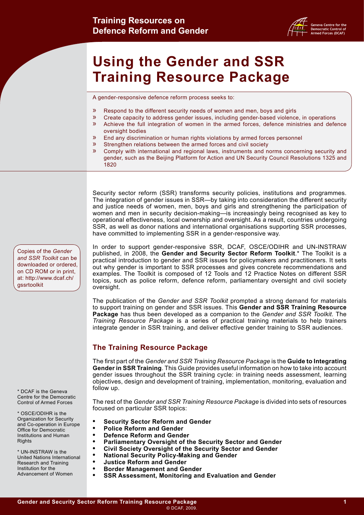

# <span id="page-3-0"></span>**Using the Gender and SSR Training Resource Package**

A gender-responsive defence reform process seeks to:

- » Respond to the different security needs of women and men, boys and girls
- » Create capacity to address gender issues, including gender-based violence, in operations
- » Achieve the full integration of women in the armed forces, defence ministries and defence oversight bodies
- » End any discrimination or human rights violations by armed forces personnel
- » Strengthen relations between the armed forces and civil society
- » Comply with international and regional laws, instruments and norms concerning security and gender, such as the Beijing Platform for Action and UN Security Council Resolutions 1325 and 1820

Security sector reform (SSR) transforms security policies, institutions and programmes. The integration of gender issues in SSR—by taking into consideration the different security and justice needs of women, men, boys and girls and strengthening the participation of women and men in security decision-making—is increasingly being recognised as key to operational effectiveness, local ownership and oversight. As a result, countries undergoing SSR, as well as donor nations and international organisations supporting SSR processes, have committed to implementing SSR in a gender-responsive way.

In order to support gender-responsive SSR, DCAF, OSCE/ODIHR and UN-INSTRAW published, in 2008, the **Gender and Security Sector Reform Toolkit**.\* The Toolkit is a practical introduction to gender and SSR issues for policymakers and practitioners. It sets out why gender is important to SSR processes and gives concrete recommendations and examples. The Toolkit is composed of 12 Tools and 12 Practice Notes on different SSR topics, such as police reform, defence reform, parliamentary oversight and civil society oversight.

The publication of the *Gender and SSR Toolkit* prompted a strong demand for materials to support training on gender and SSR issues. This **Gender and SSR Training Resource Package** has thus been developed as a companion to the *Gender and SSR Toolkit*. The *Training Resource Package* is a series of practical training materials to help trainers integrate gender in SSR training, and deliver effective gender training to SSR audiences.

### **The Training Resource Package**

The first part of the *Gender and SSR Training Resource Package* is the **Guide to Integrating Gender in SSR Training**. This Guide provides useful information on how to take into account gender issues throughout the SSR training cycle: in training needs assessment, learning objectives, design and development of training, implementation, monitoring, evaluation and follow up.

The rest of the *Gender and SSR Training Resource Package* is divided into sets of resources focused on particular SSR topics:

- **Security Sector Reform and Gender**
- **Police Reform and Gender**
- **Defence Reform and Gender**
- **Parliamentary Oversight of the Security Sector and Gender**
- **Civil Society Oversight of the Security Sector and Gender** 
	- **National Security Policy-Making and Gender** 
		- **Justice Reform and Gender**
	- **Border Management and Gender**
	- **SSR Assessment, Monitoring and Evaluation and Gender**

Copies of the *Gender and SSR Toolkit* can be downloaded or ordered, on CD ROM or in print, at: [http://www.dcaf.ch/](http://www.dcaf.ch/gssrtoolkit) [gssrtoolkit](http://www.dcaf.ch/gssrtoolkit)

\* DCAF is the Geneva Centre for the Democratic Control of Armed Forces

\* OSCE/ODIHR is the Organization for Security and Co-operation in Europe Office for Democratic Institutions and Human Rights

\* UN-INSTRAW is the United Nations International Research and Training Institution for the Advancement of Women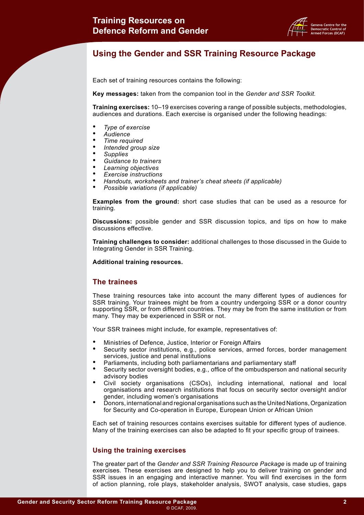

# **Using the Gender and SSR Training Resource Package**

Each set of training resources contains the following:

**Key messages:** taken from the companion tool in the *Gender and SSR Toolkit.*

**Training exercises:** 10–19 exercises covering a range of possible subjects, methodologies, audiences and durations. Each exercise is organised under the following headings:

- *Type of exercise*
- *• Audience*
- *Time required*
- *Intended group size*
- *• Supplies*
- *• Guidance to trainers*
- *Learning objectives*
- *Exercise instructions*
- *Handouts, worksheets and trainer's cheat sheets (if applicable)*
- *• Possible variations (if applicable)*

**Examples from the ground:** short case studies that can be used as a resource for training.

**Discussions:** possible gender and SSR discussion topics, and tips on how to make discussions effective.

**Training challenges to consider:** additional challenges to those discussed in the Guide to Integrating Gender in SSR Training.

**Additional training resources.**

#### **The trainees**

These training resources take into account the many different types of audiences for SSR training. Your trainees might be from a country undergoing SSR or a donor country supporting SSR, or from different countries. They may be from the same institution or from many. They may be experienced in SSR or not.

Your SSR trainees might include, for example, representatives of:

- Ministries of Defence, Justice, Interior or Foreign Affairs
- Security sector institutions, e.g., police services, armed forces, border management services, justice and penal institutions
- Parliaments, including both parliamentarians and parliamentary staff
- Security sector oversight bodies, e.g., office of the ombudsperson and national security advisory bodies
- Civil society organisations (CSOs), including international, national and local organisations and research institutions that focus on security sector oversight and/or gender, including women's organisations
- Donors, international and regional organisations such as the United Nations, Organization for Security and Co-operation in Europe, European Union or African Union

Each set of training resources contains exercises suitable for different types of audience. Many of the training exercises can also be adapted to fit your specific group of trainees.

#### **Using the training exercises**

The greater part of the *Gender and SSR Training Resource Package* is made up of training exercises. These exercises are designed to help you to deliver training on gender and SSR issues in an engaging and interactive manner. You will find exercises in the form of action planning, role plays, stakeholder analysis, SWOT analysis, case studies, gaps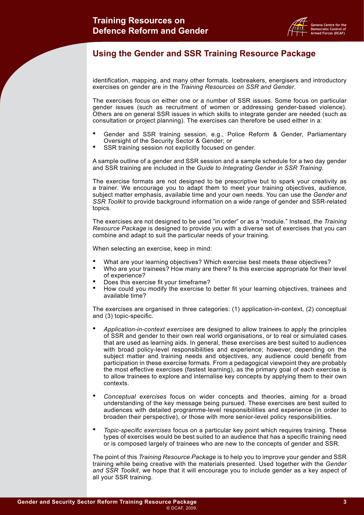

# **Using the Gender and SSR Training Resource Package**

identification, mapping, and many other formats. Icebreakers, energisers and introductory exercises on gender are in the *Training Resources on SSR and Gender*.

The exercises focus on either one or a number of SSR issues. Some focus on particular gender issues (such as recruitment of women or addressing gender-based violence). Others are on general SSR issues in which skills to integrate gender are needed (such as consultation or project planning). The exercises can therefore be used either in a:

- Gender and SSR training session, e.g., Police Reform & Gender, Parliamentary Oversight of the Security Sector & Gender; or
- SSR training session not explicitly focused on gender.

A sample outline of a gender and SSR session and a sample schedule for a two day gender and SSR training are included in the *Guide to Integrating Gender in SSR Training.*

The exercise formats are not designed to be prescriptive but to spark your creativity as a trainer. We encourage you to adapt them to meet your training objectives, audience, subject matter emphasis, available time and your own needs. You can use the *Gender and SSR Toolkit* to provide background information on a wide range of gender and SSR-related topics.

The exercises are not designed to be used "in order" or as a "module." Instead, the *Training Resource Package* is designed to provide you with a diverse set of exercises that you can combine and adapt to suit the particular needs of your training.

When selecting an exercise, keep in mind:

- What are your learning objectives? Which exercise best meets these objectives?
- Who are your trainees? How many are there? Is this exercise appropriate for their level of experience?
- Does this exercise fit your timeframe?
- How could you modify the exercise to better fit your learning objectives, trainees and available time?

The exercises are organised in three categories: (1) application-in-context, (2) conceptual and (3) topic-specific.

- *• Application-in-context exercises* are designed to allow trainees to apply the principles of SSR and gender to their own real world organisations, or to real or simulated cases that are used as learning aids. In general, these exercises are best suited to audiences with broad policy-level responsibilities and experience; however, depending on the subject matter and training needs and objectives, any audience could benefit from participation in these exercise formats. From a pedagogical viewpoint they are probably the most effective exercises (fastest learning), as the primary goal of each exercise is to allow trainees to explore and internalise key concepts by applying them to their own contexts.
- *• Conceptual exercises* focus on wider concepts and theories, aiming for a broad understanding of the key message being pursued. These exercises are best suited to audiences with detailed programme-level responsibilities and experience (in order to broaden their perspective), or those with more senior-level policy responsibilities.
- *Topic-specific exercises* focus on a particular key point which requires training. These types of exercises would be best suited to an audience that has a specific training need or is composed largely of trainees who are new to the concepts of gender and SSR.

The point of this *Training Resource Package* is to help you to improve your gender and SSR training while being creative with the materials presented. Used together with the *Gender and SSR Toolkit*, we hope that it will encourage you to include gender as a key aspect of all your SSR training.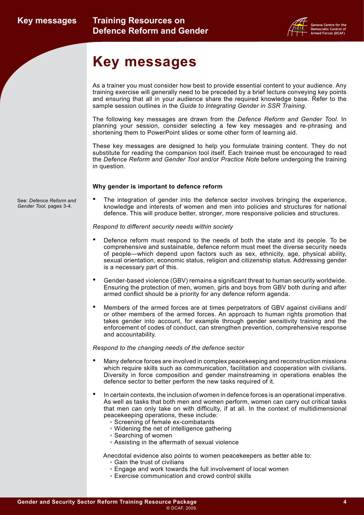

# <span id="page-6-0"></span>**Key messages**

As a trainer you must consider how best to provide essential content to your audience. Any training exercise will generally need to be preceded by a brief lecture conveying key points and ensuring that all in your audience share the required knowledge base. Refer to the sample session outlines in the *Guide to Integrating Gender in SSR Training.*

The following key messages are drawn from the *Defence Reform and Gender Tool.* In planning your session, consider selecting a few key messages and re-phrasing and shortening them to PowerPoint slides or some other form of learning aid.

These key messages are designed to help you formulate training content. They do not substitute for reading the companion tool itself. Each trainee must be encouraged to read the *Defence Reform and Gender Tool* and/or *Practice Note* before undergoing the training in question.

#### **Why gender is important to defence reform**

The integration of gender into the defence sector involves bringing the experience, knowledge and interests of women and men into policies and structures for national defence. This will produce better, stronger, more responsive policies and structures.

#### *Respond to different security needs within society*

- Defence reform must respond to the needs of both the state and its people. To be comprehensive and sustainable, defence reform must meet the diverse security needs of people—which depend upon factors such as sex, ethnicity, age, physical ability, sexual orientation, economic status, religion and citizenship status. Addressing gender is a necessary part of this.
- Gender-based violence (GBV) remains a significant threat to human security worldwide. Ensuring the protection of men, women, girls and boys from GBV both during and after armed conflict should be a priority for any defence reform agenda.
- Members of the armed forces are at times perpetrators of GBV against civilians and/ or other members of the armed forces. An approach to human rights promotion that takes gender into account, for example through gender sensitivity training and the enforcement of codes of conduct, can strengthen prevention, comprehensive response and accountability.

#### *Respond to the changing needs of the defence sector*

- Many defence forces are involved in complex peacekeeping and reconstruction missions which require skills such as communication, facilitation and cooperation with civilians. Diversity in force composition and gender mainstreaming in operations enables the defence sector to better perform the new tasks required of it.
- In certain contexts, the inclusion of women in defence forces is an operational imperative. As well as tasks that both men and women perform, women can carry out critical tasks that men can only take on with difficulty, if at all. In the context of multidimensional peacekeeping operations, these include:
	- Screening of female ex-combatants
	- Widening the net of intelligence gathering
	- Searching of women
	- Assisting in the aftermath of sexual violence

Anecdotal evidence also points to women peacekeepers as better able to:

- Gain the trust of civilians
- Engage and work towards the full involvement of local women
- Exercise communication and crowd control skills

See: *Defence Reform and Gender Tool,* pages 3-4.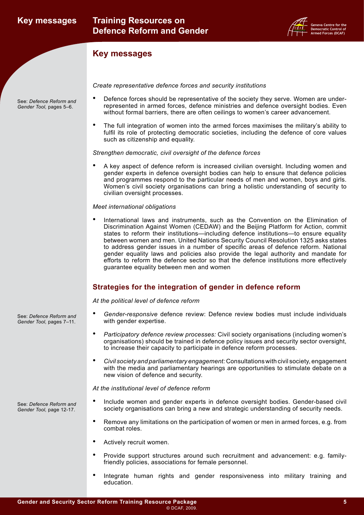

### **Key messages**

See: *Defence Reform and Gender Tool,* pages 5–6.

- Defence forces should be representative of the society they serve. Women are underrepresented in armed forces, defence ministries and defence oversight bodies. Even without formal barriers, there are often ceilings to women's career advancement.
- The full integration of women into the armed forces maximises the military's ability to fulfil its role of protecting democratic societies, including the defence of core values such as citizenship and equality.

#### *Strengthen democratic, civil oversight of the defence forces*

*Create representative defence forces and security institutions*

• A key aspect of defence reform is increased civilian oversight. Including women and gender experts in defence oversight bodies can help to ensure that defence policies and programmes respond to the particular needs of men and women, boys and girls. Women's civil society organisations can bring a holistic understanding of security to civilian oversight processes.

#### *Meet international obligations*

• International laws and instruments, such as the Convention on the Elimination of Discrimination Against Women (CEDAW) and the Beijing Platform for Action, commit states to reform their institutions—including defence institutions—to ensure equality between women and men. United Nations Security Council Resolution 1325 asks states to address gender issues in a number of specific areas of defence reform. National gender equality laws and policies also provide the legal authority and mandate for efforts to reform the defence sector so that the defence institutions more effectively guarantee equality between men and women

### **Strategies for the integration of gender in defence reform**

*At the political level of defence reform*

- Gender-responsive defence review: Defence review bodies must include individuals with gender expertise.
- *Participatory defence review processes:* Civil society organisations (including women's organisations) should be trained in defence policy issues and security sector oversight, to increase their capacity to participate in defence reform processes.
- *• Civil society and parliamentary engagement:* Consultations with civil society, engagement with the media and parliamentary hearings are opportunities to stimulate debate on a new vision of defence and security.

#### *At the institutional level of defence reform*

- Include women and gender experts in defence oversight bodies. Gender-based civil society organisations can bring a new and strategic understanding of security needs.
- Remove any limitations on the participation of women or men in armed forces, e.g. from combat roles.
- Actively recruit women.
- Provide support structures around such recruitment and advancement: e.g. familyfriendly policies, associations for female personnel.
- Integrate human rights and gender responsiveness into military training and education.

See: *Defence Reform and Gender Tool,* pages 7–11.

See: *Defence Reform and Gender Tool,* page 12-17.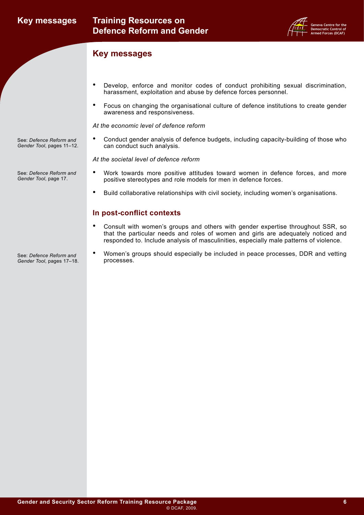

### **Key messages**

- Develop, enforce and monitor codes of conduct prohibiting sexual discrimination, harassment, exploitation and abuse by defence forces personnel.
- Focus on changing the organisational culture of defence institutions to create gender awareness and responsiveness.

*At the economic level of defence reform*

• Conduct gender analysis of defence budgets, including capacity-building of those who can conduct such analysis.

*At the societal level of defence reform*

- Work towards more positive attitudes toward women in defence forces, and more positive stereotypes and role models for men in defence forces.
- Build collaborative relationships with civil society, including women's organisations.

### **In post-conflict contexts**

- Consult with women's groups and others with gender expertise throughout SSR, so that the particular needs and roles of women and girls are adequately noticed and responded to. Include analysis of masculinities, especially male patterns of violence.
- Women's groups should especially be included in peace processes, DDR and vetting processes.

See: *Defence Reform and Gender Tool*, pages 11–12.

See: *Defence Reform and Gender Tool*, page 17.

See: *Defence Reform and Gender Tool*, pages 17–18.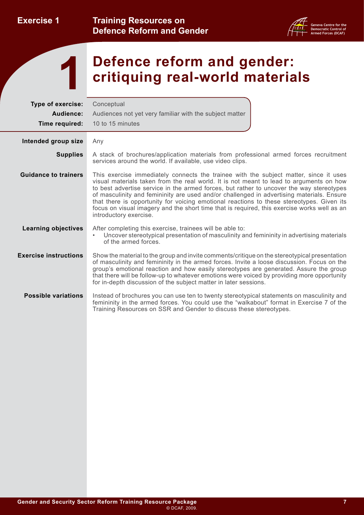<span id="page-9-0"></span>**Exercise 1**





# **Defence reform and gender: 1 critiquing real-world materials**

| Type of exercise:<br>Audience:<br>Time required: | Conceptual<br>Audiences not yet very familiar with the subject matter<br>10 to 15 minutes                                                                                                                                                                                                                                                                                                                                                                                                                                                                                                       |
|--------------------------------------------------|-------------------------------------------------------------------------------------------------------------------------------------------------------------------------------------------------------------------------------------------------------------------------------------------------------------------------------------------------------------------------------------------------------------------------------------------------------------------------------------------------------------------------------------------------------------------------------------------------|
| Intended group size                              | Any                                                                                                                                                                                                                                                                                                                                                                                                                                                                                                                                                                                             |
| <b>Supplies</b>                                  | A stack of brochures/application materials from professional armed forces recruitment<br>services around the world. If available, use video clips.                                                                                                                                                                                                                                                                                                                                                                                                                                              |
| <b>Guidance to trainers</b>                      | This exercise immediately connects the trainee with the subject matter, since it uses<br>visual materials taken from the real world. It is not meant to lead to arguments on how<br>to best advertise service in the armed forces, but rather to uncover the way stereotypes<br>of masculinity and femininity are used and/or challenged in advertising materials. Ensure<br>that there is opportunity for voicing emotional reactions to these stereotypes. Given its<br>focus on visual imagery and the short time that is required, this exercise works well as an<br>introductory exercise. |
| <b>Learning objectives</b>                       | After completing this exercise, trainees will be able to:<br>Uncover stereotypical presentation of masculinity and femininity in advertising materials<br>٠<br>of the armed forces.                                                                                                                                                                                                                                                                                                                                                                                                             |
| <b>Exercise instructions</b>                     | Show the material to the group and invite comments/critique on the stereotypical presentation<br>of masculinity and femininity in the armed forces. Invite a loose discussion. Focus on the<br>group's emotional reaction and how easily stereotypes are generated. Assure the group<br>that there will be follow-up to whatever emotions were voiced by providing more opportunity<br>for in-depth discussion of the subject matter in later sessions.                                                                                                                                         |
| <b>Possible variations</b>                       | Instead of brochures you can use ten to twenty stereotypical statements on masculinity and<br>femininity in the armed forces. You could use the "walkabout" format in Exercise 7 of the<br>Training Resources on SSR and Gender to discuss these stereotypes.                                                                                                                                                                                                                                                                                                                                   |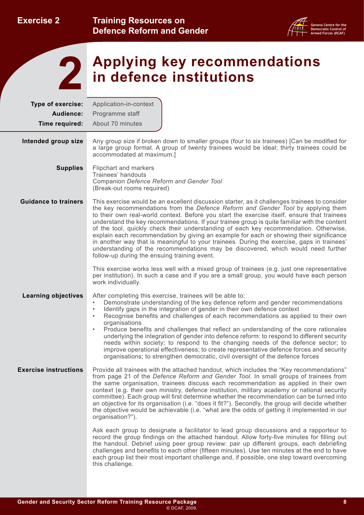<span id="page-10-0"></span>**Exercise 2**





# **Applying key recommendations 2 in defence institutions**

| Type of exercise:<br>Audience: | Application-in-context<br>Programme staff                                                                                                                                                                                                                                                                                                                                                                                                                                                                                                                                                                                                                                                                                                                                                                               |
|--------------------------------|-------------------------------------------------------------------------------------------------------------------------------------------------------------------------------------------------------------------------------------------------------------------------------------------------------------------------------------------------------------------------------------------------------------------------------------------------------------------------------------------------------------------------------------------------------------------------------------------------------------------------------------------------------------------------------------------------------------------------------------------------------------------------------------------------------------------------|
| Time required:                 | About 70 minutes                                                                                                                                                                                                                                                                                                                                                                                                                                                                                                                                                                                                                                                                                                                                                                                                        |
| Intended group size            | Any group size if broken down to smaller groups (four to six trainees) [Can be modified for<br>a large group format. A group of twenty trainees would be ideal; thirty trainees could be<br>accommodated at maximum.]                                                                                                                                                                                                                                                                                                                                                                                                                                                                                                                                                                                                   |
| <b>Supplies</b>                | Flipchart and markers<br>Trainees' handouts<br>Companion Defence Reform and Gender Tool<br>(Break-out rooms required)                                                                                                                                                                                                                                                                                                                                                                                                                                                                                                                                                                                                                                                                                                   |
| <b>Guidance to trainers</b>    | This exercise would be an excellent discussion starter, as it challenges trainees to consider<br>the key recommendations from the Defence Reform and Gender Tool by applying them<br>to their own real-world context. Before you start the exercise itself, ensure that trainees<br>understand the key recommendations. If your trainee group is quite familiar with the content<br>of the tool, quickly check their understanding of each key recommendation. Otherwise,<br>explain each recommendation by giving an example for each or showing their significance<br>in another way that is meaningful to your trainees. During the exercise, gaps in trainees'<br>understanding of the recommendations may be discovered, which would need further<br>follow-up during the ensuing training event.                  |
|                                | This exercise works less well with a mixed group of trainees (e.g. just one representative<br>per institution). In such a case and if you are a small group, you would have each person<br>work individually.                                                                                                                                                                                                                                                                                                                                                                                                                                                                                                                                                                                                           |
| <b>Learning objectives</b>     | After completing this exercise, trainees will be able to:<br>Demonstrate understanding of the key defence reform and gender recommendations<br>$\bullet$<br>Identify gaps in the integration of gender in their own defence context<br>٠<br>Recognise benefits and challenges of each recommendations as applied to their own<br>٠<br>organisations<br>Produce benefits and challenges that reflect an understanding of the core rationales<br>$\bullet$<br>underlying the integration of gender into defence reform: to respond to different security<br>needs within society; to respond to the changing needs of the defence sector; to<br>improve operational effectiveness; to create representative defence forces and security<br>organisations; to strengthen democratic, civil oversight of the defence forces |
| <b>Exercise instructions</b>   | Provide all trainees with the attached handout, which includes the "Key recommendations"<br>from page 21 of the Defence Reform and Gender Tool. In small groups of trainees from<br>the same organisation, trainees discuss each recommendation as applied in their own<br>context (e.g. their own ministry, defence institution, military academy or national security<br>committee). Each group will first determine whether the recommendation can be turned into<br>an objective for its organisation (i.e. "does it fit?"). Secondly, the group will decide whether<br>the objective would be achievable (i.e. "what are the odds of getting it implemented in our<br>organisation?").                                                                                                                             |
|                                | Ask each group to designate a facilitator to lead group discussions and a rapporteur to<br>record the group findings on the attached handout. Allow forty-five minutes for filling out<br>the handout. Debrief using peer group review: pair up different groups, each debriefing<br>challenges and benefits to each other (fifteen minutes). Use ten minutes at the end to have<br>each group list their most important challenge and, if possible, one step toward overcoming<br>this challenge.                                                                                                                                                                                                                                                                                                                      |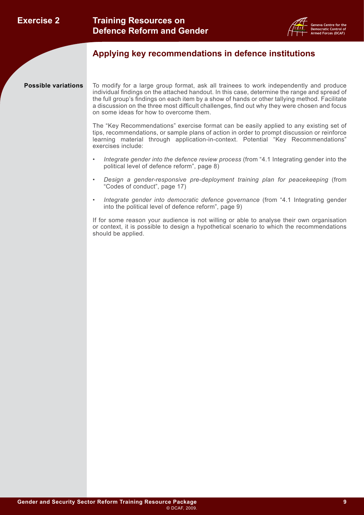

# **Applying key recommendations in defence institutions**

**Possible variations** To modify for a large group format, ask all trainees to work independently and produce individual findings on the attached handout. In this case, determine the range and spread of the full group's findings on each item by a show of hands or other tallying method. Facilitate a discussion on the three most difficult challenges, find out why they were chosen and focus on some ideas for how to overcome them.

> The "Key Recommendations" exercise format can be easily applied to any existing set of tips, recommendations, or sample plans of action in order to prompt discussion or reinforce learning material through application-in-context. Potential "Key Recommendations" exercises include:

- *Integrate gender into the defence review process (from "4.1 Integrating gender into the* political level of defence reform", page 8)
- *Design a gender-responsive pre-deployment training plan for peacekeeping* **(from** "Codes of conduct", page 17)
- *Integrate gender into democratic defence governance (from "4.1 Integrating gender* into the political level of defence reform", page 9)

If for some reason your audience is not willing or able to analyse their own organisation or context, it is possible to design a hypothetical scenario to which the recommendations should be applied.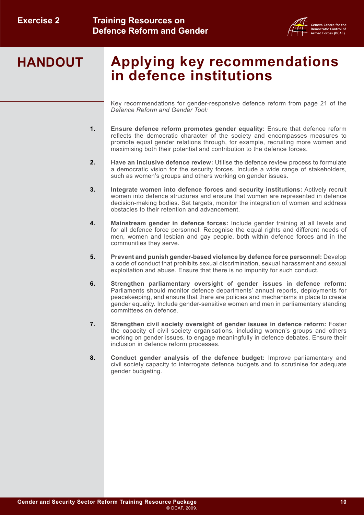

## **HANDOUT Applying key recommendations in defence institutions**

Key recommendations for gender-responsive defence reform from page 21 of the *Defence Reform and Gender Tool:*

- **1. Ensure defence reform promotes gender equality:** Ensure that defence reform reflects the democratic character of the society and encompasses measures to promote equal gender relations through, for example, recruiting more women and maximising both their potential and contribution to the defence forces.
- **2. Have an inclusive defence review:** Utilise the defence review process to formulate a democratic vision for the security forces. Include a wide range of stakeholders, such as women's groups and others working on gender issues.
- **3. Integrate women into defence forces and security institutions:** Actively recruit women into defence structures and ensure that women are represented in defence decision-making bodies. Set targets, monitor the integration of women and address obstacles to their retention and advancement.
- **4. Mainstream gender in defence forces:** Include gender training at all levels and for all defence force personnel. Recognise the equal rights and different needs of men, women and lesbian and gay people, both within defence forces and in the communities they serve.
- **5. Prevent and punish gender-based violence by defence force personnel:** Develop a code of conduct that prohibits sexual discrimination, sexual harassment and sexual exploitation and abuse. Ensure that there is no impunity for such conduct.
- **6. Strengthen parliamentary oversight of gender issues in defence reform:** Parliaments should monitor defence departments' annual reports, deployments for peacekeeping, and ensure that there are policies and mechanisms in place to create gender equality. Include gender-sensitive women and men in parliamentary standing committees on defence.
- **7. Strengthen civil society oversight of gender issues in defence reform:** Foster the capacity of civil society organisations, including women's groups and others working on gender issues, to engage meaningfully in defence debates. Ensure their inclusion in defence reform processes.
- **8. Conduct gender analysis of the defence budget:** Improve parliamentary and civil society capacity to interrogate defence budgets and to scrutinise for adequate gender budgeting.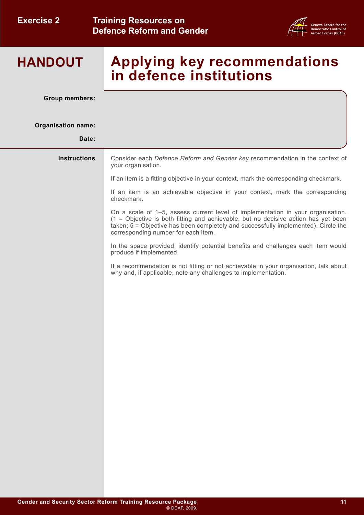

# **Applying key recommendations in defence institutions**

**Group members:**

#### **Organisation name:**

| Date: |  |
|-------|--|
|       |  |

| <b>Instructions</b> | Consider each Defence Reform and Gender key recommendation in the context of<br>your organisation.                                                                                                                                                                                                 |
|---------------------|----------------------------------------------------------------------------------------------------------------------------------------------------------------------------------------------------------------------------------------------------------------------------------------------------|
|                     | If an item is a fitting objective in your context, mark the corresponding checkmark.                                                                                                                                                                                                               |
|                     | If an item is an achievable objective in your context, mark the corresponding<br>checkmark.                                                                                                                                                                                                        |
|                     | On a scale of 1-5, assess current level of implementation in your organisation.<br>(1 = Objective is both fitting and achievable, but no decisive action has yet been<br>taken; 5 = Objective has been completely and successfully implemented). Circle the<br>corresponding number for each item. |
|                     | In the space provided, identify potential benefits and challenges each item would<br>produce if implemented.                                                                                                                                                                                       |
|                     | If a recommendation is not fitting or not achievable in your organisation, talk about<br>why and, if applicable, note any challenges to implementation.                                                                                                                                            |
|                     |                                                                                                                                                                                                                                                                                                    |
|                     |                                                                                                                                                                                                                                                                                                    |
|                     |                                                                                                                                                                                                                                                                                                    |
|                     |                                                                                                                                                                                                                                                                                                    |
|                     |                                                                                                                                                                                                                                                                                                    |
|                     |                                                                                                                                                                                                                                                                                                    |
|                     |                                                                                                                                                                                                                                                                                                    |
|                     |                                                                                                                                                                                                                                                                                                    |
|                     |                                                                                                                                                                                                                                                                                                    |
|                     |                                                                                                                                                                                                                                                                                                    |
|                     |                                                                                                                                                                                                                                                                                                    |
|                     |                                                                                                                                                                                                                                                                                                    |
|                     |                                                                                                                                                                                                                                                                                                    |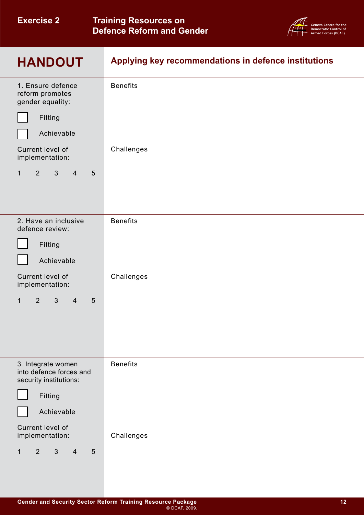|  | <b>Exercise 2</b> |  |
|--|-------------------|--|
|--|-------------------|--|

**Training Resources on Defence Reform and Gender**



| <b>HANDOUT</b>                                                          | Applying key recommendations in defence institutions |
|-------------------------------------------------------------------------|------------------------------------------------------|
| 1. Ensure defence<br>reform promotes<br>gender equality:                | <b>Benefits</b>                                      |
| Fitting                                                                 |                                                      |
| Achievable                                                              |                                                      |
| Current level of<br>implementation:                                     | Challenges                                           |
| $2^{\circ}$<br>$\mathbf{3}$<br>$\overline{4}$<br>5<br>$\mathbf{1}$      |                                                      |
|                                                                         |                                                      |
| 2. Have an inclusive<br>defence review:                                 | <b>Benefits</b>                                      |
| Fitting                                                                 |                                                      |
| Achievable                                                              |                                                      |
| Current level of<br>implementation:                                     | Challenges                                           |
| 2<br>$\mathbf{3}$<br>$\mathbf{1}$<br>$\overline{4}$<br>$5\phantom{.0}$  |                                                      |
|                                                                         |                                                      |
|                                                                         |                                                      |
| 3. Integrate women                                                      | <b>Benefits</b>                                      |
| into defence forces and<br>security institutions:                       |                                                      |
| Fitting                                                                 |                                                      |
| Achievable                                                              |                                                      |
| Current level of<br>implementation:                                     | Challenges                                           |
| 2 <sup>1</sup><br>$\mathbf{3}$<br>$\overline{4}$<br>$\overline{5}$<br>1 |                                                      |
|                                                                         |                                                      |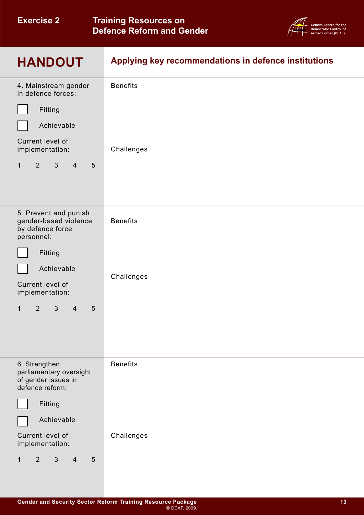|  | <b>Exercise 2</b> |  |
|--|-------------------|--|
|--|-------------------|--|

**Training Resources on Defence Reform and Gender**



| <b>HANDOUT</b>                                                                                                  | Applying key recommendations in defence institutions |
|-----------------------------------------------------------------------------------------------------------------|------------------------------------------------------|
| 4. Mainstream gender<br>in defence forces:<br>Fitting<br>Achievable<br>Current level of<br>implementation:      | <b>Benefits</b><br>Challenges                        |
| 2 <sup>1</sup><br>$\mathbf{3}$<br>$5\phantom{.}$<br>$\mathbf{1}$<br>$\overline{4}$                              |                                                      |
| 5. Prevent and punish<br>gender-based violence<br>by defence force<br>personnel:<br>Fitting                     | <b>Benefits</b>                                      |
| Achievable<br>Current level of<br>implementation:                                                               | Challenges                                           |
| $\mathbf{3}$<br>$2^{\circ}$<br>5<br>$\mathbf{1}$<br>$\overline{4}$                                              |                                                      |
| 6. Strengthen<br>parliamentary oversight<br>of gender issues in<br>defence reform:                              | <b>Benefits</b>                                      |
| Fitting<br>Achievable                                                                                           |                                                      |
| Current level of<br>implementation:<br>2 <sup>2</sup><br>$\mathbf{3}$<br>$5\phantom{.0}$<br>$\overline{4}$<br>1 | Challenges                                           |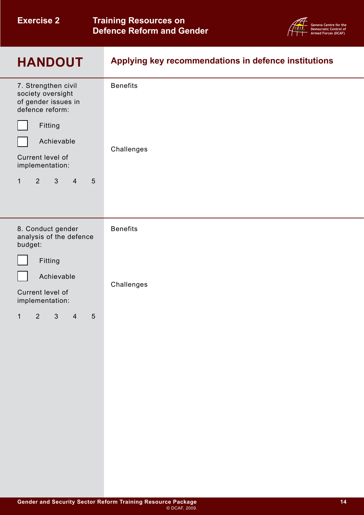| <b>Exercise 2</b> |  |
|-------------------|--|
|                   |  |

**Training Resources on Defence Reform and Gender**



| <b>HANDOUT</b>                                                                                              | Applying key recommendations in defence institutions |
|-------------------------------------------------------------------------------------------------------------|------------------------------------------------------|
| 7. Strengthen civil<br>society oversight<br>of gender issues in<br>defence reform:<br>Fitting<br>Achievable | <b>Benefits</b><br>Challenges                        |
| Current level of<br>implementation:                                                                         |                                                      |
| $\mathbf{3}$<br>$2^{\circ}$<br>$\overline{4}$<br>$5\phantom{.0}$<br>$\mathbf{1}$                            |                                                      |
| 8. Conduct gender<br>analysis of the defence<br>budget:                                                     | <b>Benefits</b>                                      |
| Fitting                                                                                                     |                                                      |
| Achievable                                                                                                  |                                                      |
| Current level of<br>implementation:                                                                         | Challenges                                           |
| $2^{\circ}$<br>$\mathbf{3}$<br>$5\phantom{.}$<br>$\mathbf{1}$<br>$\overline{4}$                             |                                                      |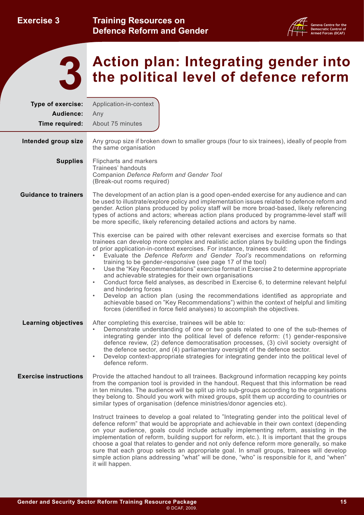<span id="page-17-0"></span>**Exercise 3**





# **Action plan: Integrating gender into 3 the political level of defence reform**

| Type of exercise:            | Application-in-context                                                                                                                                                                                                                                                                                                                                                                                                                                                                                                                                                                                                                                                                                                                                                                                                                                                                                                                                                           |
|------------------------------|----------------------------------------------------------------------------------------------------------------------------------------------------------------------------------------------------------------------------------------------------------------------------------------------------------------------------------------------------------------------------------------------------------------------------------------------------------------------------------------------------------------------------------------------------------------------------------------------------------------------------------------------------------------------------------------------------------------------------------------------------------------------------------------------------------------------------------------------------------------------------------------------------------------------------------------------------------------------------------|
| Audience:                    | Any                                                                                                                                                                                                                                                                                                                                                                                                                                                                                                                                                                                                                                                                                                                                                                                                                                                                                                                                                                              |
| Time required:               | About 75 minutes                                                                                                                                                                                                                                                                                                                                                                                                                                                                                                                                                                                                                                                                                                                                                                                                                                                                                                                                                                 |
| Intended group size          | Any group size if broken down to smaller groups (four to six trainees), ideally of people from<br>the same organisation                                                                                                                                                                                                                                                                                                                                                                                                                                                                                                                                                                                                                                                                                                                                                                                                                                                          |
| <b>Supplies</b>              | Flipcharts and markers<br>Trainees' handouts<br>Companion Defence Reform and Gender Tool<br>(Break-out rooms required)                                                                                                                                                                                                                                                                                                                                                                                                                                                                                                                                                                                                                                                                                                                                                                                                                                                           |
| <b>Guidance to trainers</b>  | The development of an action plan is a good open-ended exercise for any audience and can<br>be used to illustrate/explore policy and implementation issues related to defence reform and<br>gender. Action plans produced by policy staff will be more broad-based, likely referencing<br>types of actions and actors; whereas action plans produced by programme-level staff will<br>be more specific, likely referencing detailed actions and actors by name.                                                                                                                                                                                                                                                                                                                                                                                                                                                                                                                  |
|                              | This exercise can be paired with other relevant exercises and exercise formats so that<br>trainees can develop more complex and realistic action plans by building upon the findings<br>of prior application-in-context exercises. For instance, trainees could:<br>Evaluate the Defence Reform and Gender Tool's recommendations on reforming<br>training to be gender-responsive (see page 17 of the tool)<br>Use the "Key Recommendations" exercise format in Exercise 2 to determine appropriate<br>$\bullet$<br>and achievable strategies for their own organisations<br>Conduct force field analyses, as described in Exercise 6, to determine relevant helpful<br>$\bullet$<br>and hindering forces<br>Develop an action plan (using the recommendations identified as appropriate and<br>$\bullet$<br>achievable based on "Key Recommendations") within the context of helpful and limiting<br>forces (identified in force field analyses) to accomplish the objectives. |
| <b>Learning objectives</b>   | After completing this exercise, trainees will be able to:<br>Demonstrate understanding of one or two goals related to one of the sub-themes of<br>$\bullet$<br>integrating gender into the political level of defence reform: (1) gender-responsive<br>defence review, (2) defence democratisation processes, (3) civil society oversight of<br>the defence sector, and (4) parliamentary oversight of the defence sector.<br>Develop context-appropriate strategies for integrating gender into the political level of<br>$\bullet$<br>defence reform.                                                                                                                                                                                                                                                                                                                                                                                                                          |
| <b>Exercise instructions</b> | Provide the attached handout to all trainees. Background information recapping key points<br>from the companion tool is provided in the handout. Request that this information be read<br>in ten minutes. The audience will be split up into sub-groups according to the organisations<br>they belong to. Should you work with mixed groups, split them up according to countries or<br>similar types of organisation (defence ministries/donor agencies etc).                                                                                                                                                                                                                                                                                                                                                                                                                                                                                                                   |
|                              | Instruct trainees to develop a goal related to "Integrating gender into the political level of<br>defence reform" that would be appropriate and achievable in their own context (depending<br>on your audience, goals could include actually implementing reform, assisting in the<br>implementation of reform, building support for reform, etc.). It is important that the groups<br>choose a goal that relates to gender and not only defence reform more generally, so make<br>sure that each group selects an appropriate goal. In small groups, trainees will develop<br>simple action plans addressing "what" will be done, "who" is responsible for it, and "when"<br>it will happen.                                                                                                                                                                                                                                                                                    |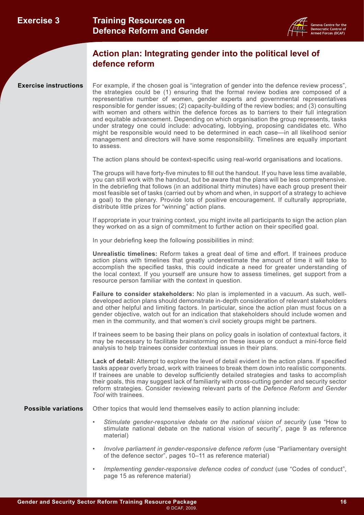

# **Action plan: Integrating gender into the political level of defence reform**

**Exercise instructions**

For example, if the chosen goal is "integration of gender into the defence review process", the strategies could be (1) ensuring that the formal review bodies are composed of a representative number of women, gender experts and governmental representatives responsible for gender issues; (2) capacity-building of the review bodies; and (3) consulting with women and others within the defence forces as to barriers to their full integration and equitable advancement. Depending on which organisation the group represents, tasks under strategy one could include: advocating, lobbying, proposing candidates etc. Who might be responsible would need to be determined in each case—in all likelihood senior management and directors will have some responsibility. Timelines are equally important to assess.

The action plans should be context-specific using real-world organisations and locations.

The groups will have forty-five minutes to fill out the handout. If you have less time available, you can still work with the handout, but be aware that the plans will be less comprehensive. In the debriefing that follows (in an additional thirty minutes) have each group present their most feasible set of tasks (carried out by whom and when, in support of a strategy to achieve a goal) to the plenary. Provide lots of positive encouragement. If culturally appropriate, distribute little prizes for "winning" action plans.

If appropriate in your training context, you might invite all participants to sign the action plan they worked on as a sign of commitment to further action on their specified goal.

In your debriefing keep the following possibilities in mind:

**Unrealistic timelines:** Reform takes a great deal of time and effort. If trainees produce action plans with timelines that greatly underestimate the amount of time it will take to accomplish the specified tasks, this could indicate a need for greater understanding of the local context. If you yourself are unsure how to assess timelines, get support from a resource person familiar with the context in question.

**Failure to consider stakeholders:** No plan is implemented in a vacuum. As such, welldeveloped action plans should demonstrate in-depth consideration of relevant stakeholders and other helpful and limiting factors. In particular, since the action plan must focus on a gender objective, watch out for an indication that stakeholders should include women and men in the community, and that women's civil society groups might be partners.

If trainees seem to be basing their plans on policy goals in isolation of contextual factors, it may be necessary to facilitate brainstorming on these issues or conduct a mini-force field analysis to help trainees consider contextual issues in their plans.

**Lack of detail:** Attempt to explore the level of detail evident in the action plans. If specified tasks appear overly broad, work with trainees to break them down into realistic components. If trainees are unable to develop sufficiently detailed strategies and tasks to accomplish their goals, this may suggest lack of familiarity with cross-cutting gender and security sector reform strategies. Consider reviewing relevant parts of the *Defence Reform and Gender Tool* with trainees.

**Possible variations** Other topics that would lend themselves easily to action planning include:

- *Stimulate gender-responsive debate on the national vision of security* (use "How to stimulate national debate on the national vision of security", page 9 as reference material)
- *Involve parliament in gender-responsive defence reform (use "Parliamentary oversight* of the defence sector", pages 10–11 as reference material)
- *Implementing gender-responsive defence codes of conduct (use "Codes of conduct",* page 15 as reference material)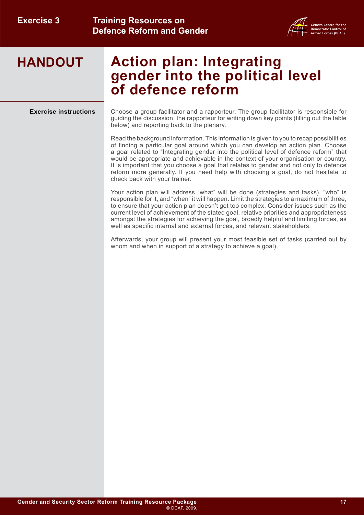

# **Action plan: Integrating gender into the political level of defence reform**

**Exercise instructions** Choose a group facilitator and a rapporteur. The group facilitator is responsible for guiding the discussion, the rapporteur for writing down key points (filling out the table below) and reporting back to the plenary.

> Read the background information. This information is given to you to recap possibilities of finding a particular goal around which you can develop an action plan. Choose a goal related to "Integrating gender into the political level of defence reform" that would be appropriate and achievable in the context of your organisation or country. It is important that you choose a goal that relates to gender and not only to defence reform more generally. If you need help with choosing a goal, do not hesitate to check back with your trainer.

> Your action plan will address "what" will be done (strategies and tasks), "who" is responsible for it, and "when" it will happen. Limit the strategies to a maximum of three, to ensure that your action plan doesn't get too complex. Consider issues such as the current level of achievement of the stated goal, relative priorities and appropriateness amongst the strategies for achieving the goal, broadly helpful and limiting forces, as well as specific internal and external forces, and relevant stakeholders.

> Afterwards, your group will present your most feasible set of tasks (carried out by whom and when in support of a strategy to achieve a goal).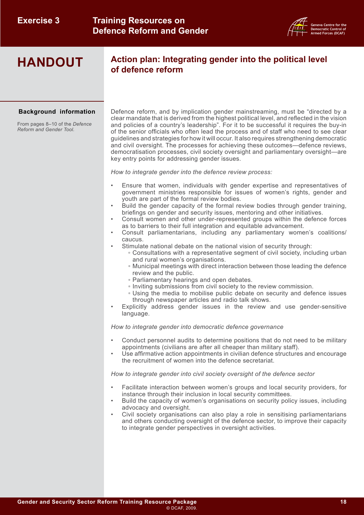

# **Action plan: Integrating gender into the political level of defence reform**

#### **Background information**

From pages 8–10 of the *Defence Reform and Gender Tool.*

Defence reform, and by implication gender mainstreaming, must be "directed by a clear mandate that is derived from the highest political level, and reflected in the vision and policies of a country's leadership". For it to be successful it requires the buy-in of the senior officials who often lead the process and of staff who need to see clear guidelines and strategies for how it will occur. It also requires strengthening democratic and civil oversight. The processes for achieving these outcomes—defence reviews, democratisation processes, civil society oversight and parliamentary oversight—are key entry points for addressing gender issues.

*How to integrate gender into the defence review process:*

- Ensure that women, individuals with gender expertise and representatives of government ministries responsible for issues of women's rights, gender and youth are part of the formal review bodies.
- Build the gender capacity of the formal review bodies through gender training, briefings on gender and security issues, mentoring and other initiatives.
- Consult women and other under-represented groups within the defence forces as to barriers to their full integration and equitable advancement.
- Consult parliamentarians, including any parliamentary women's coalitions/ caucus.
	- Stimulate national debate on the national vision of security through:
		- Consultations with a representative segment of civil society, including urban and rural women's organisations.
		- Municipal meetings with direct interaction between those leading the defence review and the public.
		- Parliamentary hearings and open debates.
		- Inviting submissions from civil society to the review commission.
		- Using the media to mobilise public debate on security and defence issues through newspaper articles and radio talk shows.
- Explicitly address gender issues in the review and use gender-sensitive language.

*How to integrate gender into democratic defence governance*

- Conduct personnel audits to determine positions that do not need to be military appointments (civilians are after all cheaper than military staff).
- Use affirmative action appointments in civilian defence structures and encourage the recruitment of women into the defence secretariat.

*How to integrate gender into civil society oversight of the defence sector*

- Facilitate interaction between women's groups and local security providers, for instance through their inclusion in local security committees.
- Build the capacity of women's organisations on security policy issues, including advocacy and oversight.
- Civil society organisations can also play a role in sensitising parliamentarians and others conducting oversight of the defence sector, to improve their capacity to integrate gender perspectives in oversight activities.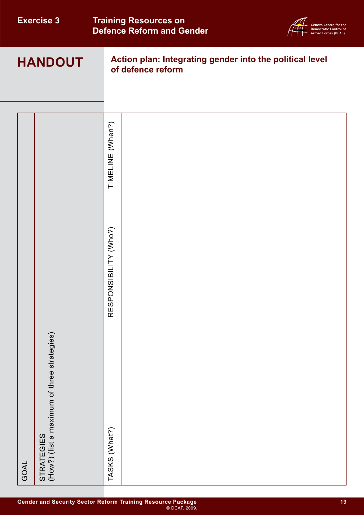| <b>Exercise 3</b> |                                                                  |                       | <b>Training Resources on</b><br><b>Defence Reform and Gender</b><br>ntrol of<br><b>Democratic Co</b><br><b>Armed Forces (DCAF)</b> |
|-------------------|------------------------------------------------------------------|-----------------------|------------------------------------------------------------------------------------------------------------------------------------|
| <b>HANDOUT</b>    |                                                                  |                       | Action plan: Integrating gender into the political level<br>of defence reform                                                      |
|                   |                                                                  | TIMELINE (When?)      |                                                                                                                                    |
|                   |                                                                  | RESPONSIBILITY (Who?) |                                                                                                                                    |
| GOAL              | (How?) (list a maximum of three strategies)<br><b>STRATEGIES</b> | TASKS (What?)         |                                                                                                                                    |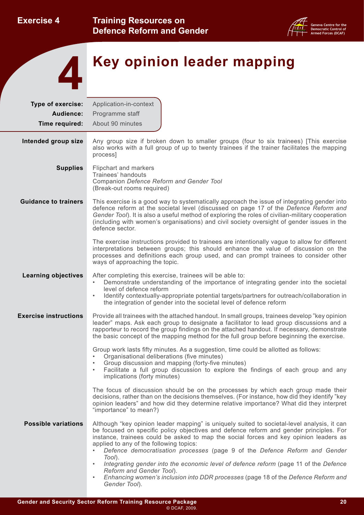<span id="page-22-0"></span>

| <b>Exercise 4</b>                                | <b>Training Resources on</b><br><b>Defence Reform and Gender</b><br>Armed Forces (DCAF)                                                                                                                                                                                                                                                                                                                                                                                                                                                                                                                                                                               |
|--------------------------------------------------|-----------------------------------------------------------------------------------------------------------------------------------------------------------------------------------------------------------------------------------------------------------------------------------------------------------------------------------------------------------------------------------------------------------------------------------------------------------------------------------------------------------------------------------------------------------------------------------------------------------------------------------------------------------------------|
|                                                  | Key opinion leader mapping                                                                                                                                                                                                                                                                                                                                                                                                                                                                                                                                                                                                                                            |
| Type of exercise:<br>Audience:<br>Time required: | Application-in-context<br>Programme staff<br>About 90 minutes                                                                                                                                                                                                                                                                                                                                                                                                                                                                                                                                                                                                         |
| Intended group size                              | Any group size if broken down to smaller groups (four to six trainees) [This exercise<br>also works with a full group of up to twenty trainees if the trainer facilitates the mapping<br>process]                                                                                                                                                                                                                                                                                                                                                                                                                                                                     |
| <b>Supplies</b>                                  | Flipchart and markers<br>Trainees' handouts<br>Companion Defence Reform and Gender Tool<br>(Break-out rooms required)                                                                                                                                                                                                                                                                                                                                                                                                                                                                                                                                                 |
| <b>Guidance to trainers</b>                      | This exercise is a good way to systematically approach the issue of integrating gender into<br>defence reform at the societal level (discussed on page 17 of the Defence Reform and<br>Gender Tool). It is also a useful method of exploring the roles of civilian-military cooperation<br>(including with women's organisations) and civil society oversight of gender issues in the<br>defence sector.                                                                                                                                                                                                                                                              |
|                                                  | The exercise instructions provided to trainees are intentionally vague to allow for different<br>interpretations between groups; this should enhance the value of discussion on the<br>processes and definitions each group used, and can prompt trainees to consider other<br>ways of approaching the topic.                                                                                                                                                                                                                                                                                                                                                         |
| <b>Learning objectives</b>                       | After completing this exercise, trainees will be able to:<br>Demonstrate understanding of the importance of integrating gender into the societal<br>level of defence reform<br>Identify contextually-appropriate potential targets/partners for outreach/collaboration in<br>the integration of gender into the societal level of defence reform                                                                                                                                                                                                                                                                                                                      |
| <b>Exercise instructions</b>                     | Provide all trainees with the attached handout. In small groups, trainees develop "key opinion"<br>leader" maps. Ask each group to designate a facilitator to lead group discussions and a<br>rapporteur to record the group findings on the attached handout. If necessary, demonstrate<br>the basic concept of the mapping method for the full group before beginning the exercise.                                                                                                                                                                                                                                                                                 |
|                                                  | Group work lasts fifty minutes. As a suggestion, time could be allotted as follows:<br>Organisational deliberations (five minutes)<br>$\bullet$<br>Group discussion and mapping (forty-five minutes)<br>$\bullet$<br>Facilitate a full group discussion to explore the findings of each group and any<br>$\bullet$<br>implications (forty minutes)                                                                                                                                                                                                                                                                                                                    |
|                                                  | The focus of discussion should be on the processes by which each group made their<br>decisions, rather than on the decisions themselves. (For instance, how did they identify "key<br>opinion leaders" and how did they determine relative importance? What did they interpret<br>"importance" to mean?)                                                                                                                                                                                                                                                                                                                                                              |
| <b>Possible variations</b>                       | Although "key opinion leader mapping" is uniquely suited to societal-level analysis, it can<br>be focused on specific policy objectives and defence reform and gender principles. For<br>instance, trainees could be asked to map the social forces and key opinion leaders as<br>applied to any of the following topics:<br>Defence democratisation processes (page 9 of the Defence Reform and Gender<br>Tool).<br>Integrating gender into the economic level of defence reform (page 11 of the Defence<br>$\bullet$<br>Reform and Gender Tool).<br>Enhancing women's inclusion into DDR processes (page 18 of the Defence Reform and<br>$\bullet$<br>Gender Tool). |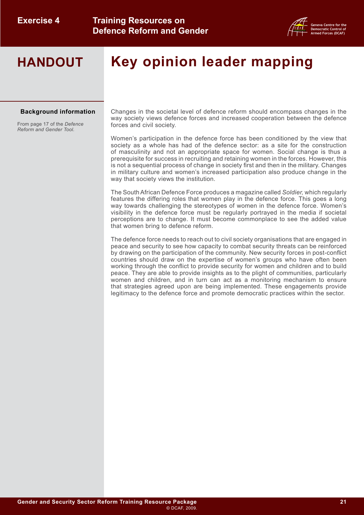

# **Key opinion leader mapping**

#### **Background information**

From page 17 of the *Defence Reform and Gender Tool.*

Changes in the societal level of defence reform should encompass changes in the way society views defence forces and increased cooperation between the defence forces and civil society.

Women's participation in the defence force has been conditioned by the view that society as a whole has had of the defence sector: as a site for the construction of masculinity and not an appropriate space for women. Social change is thus a prerequisite for success in recruiting and retaining women in the forces. However, this is not a sequential process of change in society first and then in the military. Changes in military culture and women's increased participation also produce change in the way that society views the institution.

The South African Defence Force produces a magazine called *Soldier,* which regularly features the differing roles that women play in the defence force. This goes a long way towards challenging the stereotypes of women in the defence force. Women's visibility in the defence force must be regularly portrayed in the media if societal perceptions are to change. It must become commonplace to see the added value that women bring to defence reform.

The defence force needs to reach out to civil society organisations that are engaged in peace and security to see how capacity to combat security threats can be reinforced by drawing on the participation of the community. New security forces in post-conflict countries should draw on the expertise of women's groups who have often been working through the conflict to provide security for women and children and to build peace. They are able to provide insights as to the plight of communities, particularly women and children, and in turn can act as a monitoring mechanism to ensure that strategies agreed upon are being implemented. These engagements provide legitimacy to the defence force and promote democratic practices within the sector.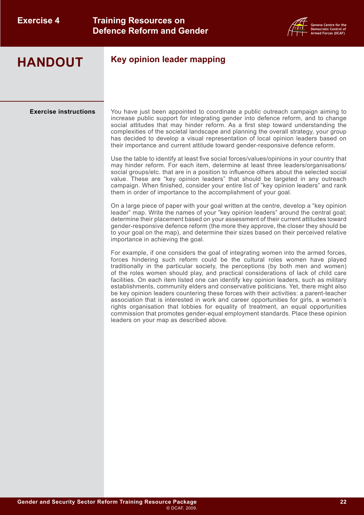

## **Key opinion leader mapping**

**Exercise instructions** You have just been appointed to coordinate a public outreach campaign aiming to increase public support for integrating gender into defence reform, and to change social attitudes that may hinder reform. As a first step toward understanding the complexities of the societal landscape and planning the overall strategy, your group has decided to develop a visual representation of local opinion leaders based on their importance and current attitude toward gender-responsive defence reform.

> Use the table to identify at least five social forces/values/opinions in your country that may hinder reform. For each item, determine at least three leaders/organisations/ social groups/etc. that are in a position to influence others about the selected social value. These are "key opinion leaders" that should be targeted in any outreach campaign. When finished, consider your entire list of "key opinion leaders" and rank them in order of importance to the accomplishment of your goal.

> On a large piece of paper with your goal written at the centre, develop a "key opinion leader" map. Write the names of your "key opinion leaders" around the central goal; determine their placement based on your assessment of their current attitudes toward gender-responsive defence reform (the more they approve, the closer they should be to your goal on the map), and determine their sizes based on their perceived relative importance in achieving the goal.

> For example, if one considers the goal of integrating women into the armed forces, forces hindering such reform could be the cultural roles women have played traditionally in the particular society, the perceptions (by both men and women) of the roles women should play, and practical considerations of lack of child care facilities. On each item listed one can identify key opinion leaders, such as military establishments, community elders and conservative politicians. Yet, there might also be key opinion leaders countering these forces with their activities: a parent-teacher association that is interested in work and career opportunities for girls, a women's rights organisation that lobbies for equality of treatment, an equal opportunities commission that promotes gender-equal employment standards. Place these opinion leaders on your map as described above.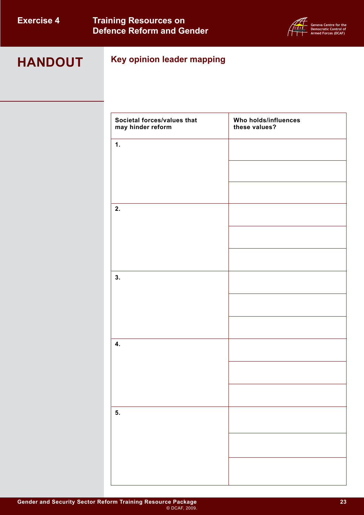

# **Key opinion leader mapping**

| Societal forces/values that<br>may hinder reform | Who holds/influences<br>these values? |
|--------------------------------------------------|---------------------------------------|
| 1.                                               |                                       |
|                                                  |                                       |
|                                                  |                                       |
| 2.                                               |                                       |
|                                                  |                                       |
|                                                  |                                       |
| 3.                                               |                                       |
|                                                  |                                       |
|                                                  |                                       |
| $\overline{\mathbf{4}}$ .                        |                                       |
|                                                  |                                       |
|                                                  |                                       |
| 5.                                               |                                       |
|                                                  |                                       |
|                                                  |                                       |
|                                                  |                                       |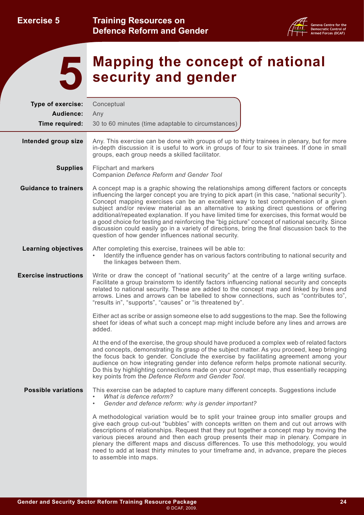<span id="page-26-0"></span>**Exercise 5**





# **Mapping the concept of national security and gender**

| Type of exercise:            | Conceptual                                                                                                                                                                                                                                                                                                                                                                                                                                                                                                                                                                                                                                                                                                                                 |
|------------------------------|--------------------------------------------------------------------------------------------------------------------------------------------------------------------------------------------------------------------------------------------------------------------------------------------------------------------------------------------------------------------------------------------------------------------------------------------------------------------------------------------------------------------------------------------------------------------------------------------------------------------------------------------------------------------------------------------------------------------------------------------|
| Audience:                    | Any                                                                                                                                                                                                                                                                                                                                                                                                                                                                                                                                                                                                                                                                                                                                        |
| Time required:               | 30 to 60 minutes (time adaptable to circumstances)                                                                                                                                                                                                                                                                                                                                                                                                                                                                                                                                                                                                                                                                                         |
| Intended group size          | Any. This exercise can be done with groups of up to thirty trainees in plenary, but for more<br>in-depth discussion it is useful to work in groups of four to six trainees. If done in small<br>groups, each group needs a skilled facilitator.                                                                                                                                                                                                                                                                                                                                                                                                                                                                                            |
| <b>Supplies</b>              | Flipchart and markers<br>Companion Defence Reform and Gender Tool                                                                                                                                                                                                                                                                                                                                                                                                                                                                                                                                                                                                                                                                          |
| <b>Guidance to trainers</b>  | A concept map is a graphic showing the relationships among different factors or concepts<br>influencing the larger concept you are trying to pick apart (in this case, "national security").<br>Concept mapping exercises can be an excellent way to test comprehension of a given<br>subject and/or review material as an alternative to asking direct questions or offering<br>additional/repeated explanation. If you have limited time for exercises, this format would be<br>a good choice for testing and reinforcing the "big picture" concept of national security. Since<br>discussion could easily go in a variety of directions, bring the final discussion back to the<br>question of how gender influences national security. |
| <b>Learning objectives</b>   | After completing this exercise, trainees will be able to:<br>Identify the influence gender has on various factors contributing to national security and<br>the linkages between them.                                                                                                                                                                                                                                                                                                                                                                                                                                                                                                                                                      |
| <b>Exercise instructions</b> | Write or draw the concept of "national security" at the centre of a large writing surface.<br>Facilitate a group brainstorm to identify factors influencing national security and concepts<br>related to national security. These are added to the concept map and linked by lines and<br>arrows. Lines and arrows can be labelled to show connections, such as "contributes to",<br>"results in", "supports", "causes" or "is threatened by".                                                                                                                                                                                                                                                                                             |
|                              | Either act as scribe or assign someone else to add suggestions to the map. See the following<br>sheet for ideas of what such a concept map might include before any lines and arrows are<br>added.                                                                                                                                                                                                                                                                                                                                                                                                                                                                                                                                         |
|                              | At the end of the exercise, the group should have produced a complex web of related factors<br>and concepts, demonstrating its grasp of the subject matter. As you proceed, keep bringing<br>the focus back to gender. Conclude the exercise by facilitating agreement among your<br>audience on how integrating gender into defence reform helps promote national security.<br>Do this by highlighting connections made on your concept map, thus essentially recapping<br>key points from the Defence Reform and Gender Tool.                                                                                                                                                                                                            |
| <b>Possible variations</b>   | This exercise can be adapted to capture many different concepts. Suggestions include<br>What is defence reform?<br>Gender and defence reform: why is gender important?                                                                                                                                                                                                                                                                                                                                                                                                                                                                                                                                                                     |
|                              | A methodological variation would be to split your trainee group into smaller groups and<br>give each group cut-out "bubbles" with concepts written on them and cut out arrows with<br>descriptions of relationships. Request that they put together a concept map by moving the<br>various pieces around and then each group presents their map in plenary. Compare in<br>plenary the different maps and discuss differences. To use this methodology, you would<br>need to add at least thirty minutes to your timeframe and, in advance, prepare the pieces<br>to assemble into maps.                                                                                                                                                    |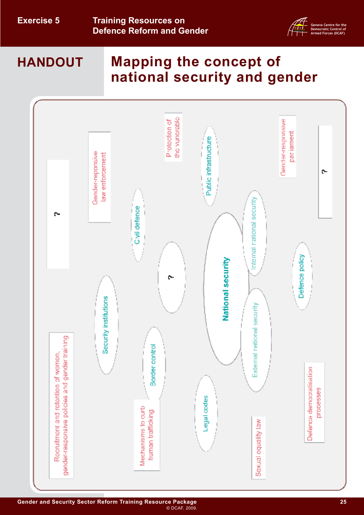## **Exercise 5**

**Training Resources on Defence Reform and Gender**



# **HANDOUT**

# **Mapping the concept of national security and gender**

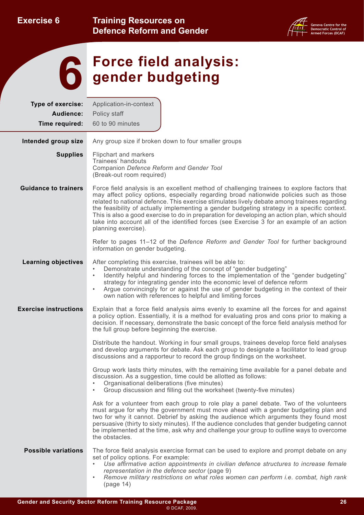<span id="page-28-0"></span>

| <b>Exercise 6</b> |  |
|-------------------|--|
|                   |  |



# **Force field analysis: 6 gender budgeting**

| Type of exercise:            | Application-in-context                                                                                                                                                                                                                                                                                                                                                                                                                                                                                                                                                                                      |  |  |  |  |
|------------------------------|-------------------------------------------------------------------------------------------------------------------------------------------------------------------------------------------------------------------------------------------------------------------------------------------------------------------------------------------------------------------------------------------------------------------------------------------------------------------------------------------------------------------------------------------------------------------------------------------------------------|--|--|--|--|
| Audience:                    | Policy staff                                                                                                                                                                                                                                                                                                                                                                                                                                                                                                                                                                                                |  |  |  |  |
| Time required:               | 60 to 90 minutes                                                                                                                                                                                                                                                                                                                                                                                                                                                                                                                                                                                            |  |  |  |  |
| Intended group size          | Any group size if broken down to four smaller groups                                                                                                                                                                                                                                                                                                                                                                                                                                                                                                                                                        |  |  |  |  |
| <b>Supplies</b>              | Flipchart and markers<br>Trainees' handouts<br>Companion Defence Reform and Gender Tool<br>(Break-out room required)                                                                                                                                                                                                                                                                                                                                                                                                                                                                                        |  |  |  |  |
| <b>Guidance to trainers</b>  | Force field analysis is an excellent method of challenging trainees to explore factors that<br>may affect policy options, especially regarding broad nationwide policies such as those<br>related to national defence. This exercise stimulates lively debate among trainees regarding<br>the feasibility of actually implementing a gender budgeting strategy in a specific context.<br>This is also a good exercise to do in preparation for developing an action plan, which should<br>take into account all of the identified forces (see Exercise 3 for an example of an action<br>planning exercise). |  |  |  |  |
|                              | Refer to pages 11-12 of the Defence Reform and Gender Tool for further background<br>information on gender budgeting.                                                                                                                                                                                                                                                                                                                                                                                                                                                                                       |  |  |  |  |
| <b>Learning objectives</b>   | After completing this exercise, trainees will be able to:<br>Demonstrate understanding of the concept of "gender budgeting"<br>$\bullet$<br>Identify helpful and hindering forces to the implementation of the "gender budgeting"<br>$\bullet$<br>strategy for integrating gender into the economic level of defence reform<br>Argue convincingly for or against the use of gender budgeting in the context of their<br>$\bullet$<br>own nation with references to helpful and limiting forces                                                                                                              |  |  |  |  |
| <b>Exercise instructions</b> | Explain that a force field analysis aims evenly to examine all the forces for and against<br>a policy option. Essentially, it is a method for evaluating pros and cons prior to making a<br>decision. If necessary, demonstrate the basic concept of the force field analysis method for<br>the full group before beginning the exercise.                                                                                                                                                                                                                                                                   |  |  |  |  |
|                              | Distribute the handout. Working in four small groups, trainees develop force field analyses<br>and develop arguments for debate. Ask each group to designate a facilitator to lead group<br>discussions and a rapporteur to record the group findings on the worksheet.                                                                                                                                                                                                                                                                                                                                     |  |  |  |  |
|                              | Group work lasts thirty minutes, with the remaining time available for a panel debate and<br>discussion. As a suggestion, time could be allotted as follows:<br>Organisational deliberations (five minutes)<br>Group discussion and filling out the worksheet (twenty-five minutes)<br>$\bullet$                                                                                                                                                                                                                                                                                                            |  |  |  |  |
|                              | Ask for a volunteer from each group to role play a panel debate. Two of the volunteers<br>must argue for why the government must move ahead with a gender budgeting plan and<br>two for why it cannot. Debrief by asking the audience which arguments they found most<br>persuasive (thirty to sixty minutes). If the audience concludes that gender budgeting cannot<br>be implemented at the time, ask why and challenge your group to outline ways to overcome<br>the obstacles.                                                                                                                         |  |  |  |  |
| <b>Possible variations</b>   | The force field analysis exercise format can be used to explore and prompt debate on any<br>set of policy options. For example:<br>Use affirmative action appointments in civilian defence structures to increase female<br>representation in the defence sector (page 9)<br>Remove military restrictions on what roles women can perform i.e. combat, high rank<br>$\bullet$<br>(page 14)                                                                                                                                                                                                                  |  |  |  |  |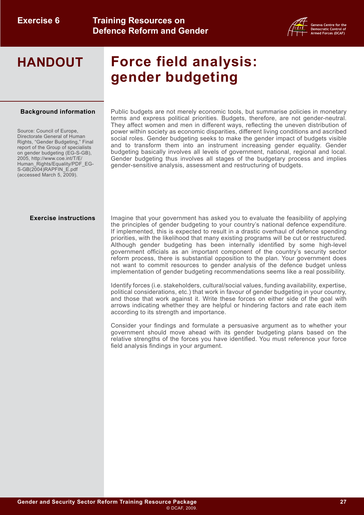

# **Force field analysis: gender budgeting**

#### **Background information**

Source: Council of Europe, Directorate General of Human Rights, "Gender Budgeting," Final report of the Group of specialists on gender budgeting (EG-S-GB), 2005, [http://www.coe.int/T/E/](http://www.coe.int/T/E/Human_Rights/Equality/PDF_EG-S-GB(2004)RAPFIN_E.pdf) [Human\\_Rights/Equality/PDF\\_EG-](http://www.coe.int/T/E/Human_Rights/Equality/PDF_EG-S-GB(2004)RAPFIN_E.pdf)[S-GB\(2004\)RAPFIN\\_E.pdf](http://www.coe.int/T/E/Human_Rights/Equality/PDF_EG-S-GB(2004)RAPFIN_E.pdf)  (accessed March 5, 2009).

Public budgets are not merely economic tools, but summarise policies in monetary terms and express political priorities. Budgets, therefore, are not gender-neutral. They affect women and men in different ways, reflecting the uneven distribution of power within society as economic disparities, different living conditions and ascribed social roles. Gender budgeting seeks to make the gender impact of budgets visible and to transform them into an instrument increasing gender equality. Gender budgeting basically involves all levels of government, national, regional and local. Gender budgeting thus involves all stages of the budgetary process and implies gender-sensitive analysis, assessment and restructuring of budgets.

#### **Exercise instructions**

Imagine that your government has asked you to evaluate the feasibility of applying the principles of gender budgeting to your country's national defence expenditure. If implemented, this is expected to result in a drastic overhaul of defence spending priorities, with the likelihood that many existing programs will be cut or restructured. Although gender budgeting has been internally identified by some high-level government officials as an important component of the country's security sector reform process, there is substantial opposition to the plan. Your government does not want to commit resources to gender analysis of the defence budget unless implementation of gender budgeting recommendations seems like a real possibility.

Identify forces (i.e. stakeholders, cultural/social values, funding availability, expertise, political considerations, etc.) that work in favour of gender budgeting in your country, and those that work against it. Write these forces on either side of the goal with arrows indicating whether they are helpful or hindering factors and rate each item according to its strength and importance.

Consider your findings and formulate a persuasive argument as to whether your government should move ahead with its gender budgeting plans based on the relative strengths of the forces you have identified. You must reference your force field analysis findings in your argument.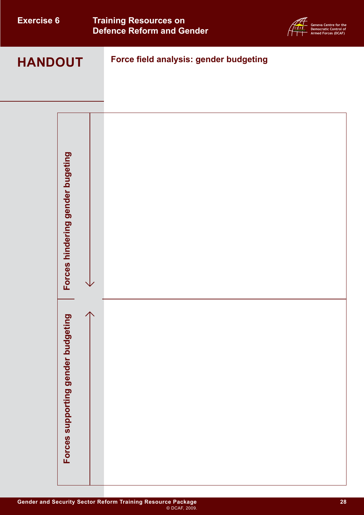| <b>Exercise 6</b> |                                                     | <b>Training Resources on</b><br><b>Defence Reform and Gender</b> | Geneva Centre for the<br>Democratic Control of<br>Armed Forces (DCAF) |
|-------------------|-----------------------------------------------------|------------------------------------------------------------------|-----------------------------------------------------------------------|
| <b>HANDOUT</b>    |                                                     | Force field analysis: gender budgeting                           |                                                                       |
|                   | orces hindering gender bugeting<br>ட                |                                                                  |                                                                       |
|                   | $\rightarrow$<br>Forces supporting gender budgeting |                                                                  |                                                                       |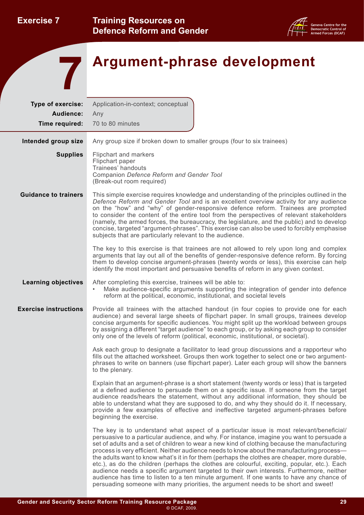<span id="page-31-0"></span>

| <b>Exercise 7</b> |  |
|-------------------|--|
|                   |  |





# **Argument-phrase development 7**

| Type of exercise:            | Application-in-context; conceptual                                                                                                                                                                                                                                                                                                                                                                                                                                                                                                                                                                                                                                                                                                                                                                                                                                 |  |  |
|------------------------------|--------------------------------------------------------------------------------------------------------------------------------------------------------------------------------------------------------------------------------------------------------------------------------------------------------------------------------------------------------------------------------------------------------------------------------------------------------------------------------------------------------------------------------------------------------------------------------------------------------------------------------------------------------------------------------------------------------------------------------------------------------------------------------------------------------------------------------------------------------------------|--|--|
| Audience:                    | Any                                                                                                                                                                                                                                                                                                                                                                                                                                                                                                                                                                                                                                                                                                                                                                                                                                                                |  |  |
| Time required:               | 70 to 80 minutes                                                                                                                                                                                                                                                                                                                                                                                                                                                                                                                                                                                                                                                                                                                                                                                                                                                   |  |  |
| Intended group size          | Any group size if broken down to smaller groups (four to six trainees)                                                                                                                                                                                                                                                                                                                                                                                                                                                                                                                                                                                                                                                                                                                                                                                             |  |  |
| <b>Supplies</b>              | Flipchart and markers<br>Flipchart paper<br>Trainees' handouts<br>Companion Defence Reform and Gender Tool<br>(Break-out room required)                                                                                                                                                                                                                                                                                                                                                                                                                                                                                                                                                                                                                                                                                                                            |  |  |
| <b>Guidance to trainers</b>  | This simple exercise requires knowledge and understanding of the principles outlined in the<br>Defence Reform and Gender Tool and is an excellent overview activity for any audience<br>on the "how" and "why" of gender-responsive defence reform. Trainees are prompted<br>to consider the content of the entire tool from the perspectives of relevant stakeholders<br>(namely, the armed forces, the bureaucracy, the legislature, and the public) and to develop<br>concise, targeted "argument-phrases". This exercise can also be used to forcibly emphasise<br>subjects that are particularly relevant to the audience.                                                                                                                                                                                                                                    |  |  |
|                              | The key to this exercise is that trainees are not allowed to rely upon long and complex<br>arguments that lay out all of the benefits of gender-responsive defence reform. By forcing<br>them to develop concise argument-phrases (twenty words or less), this exercise can help<br>identify the most important and persuasive benefits of reform in any given context.                                                                                                                                                                                                                                                                                                                                                                                                                                                                                            |  |  |
| <b>Learning objectives</b>   | After completing this exercise, trainees will be able to:<br>Make audience-specific arguments supporting the integration of gender into defence<br>reform at the political, economic, institutional, and societal levels                                                                                                                                                                                                                                                                                                                                                                                                                                                                                                                                                                                                                                           |  |  |
| <b>Exercise instructions</b> | Provide all trainees with the attached handout (in four copies to provide one for each<br>audience) and several large sheets of flipchart paper. In small groups, trainees develop<br>concise arguments for specific audiences. You might split up the workload between groups<br>by assigning a different "target audience" to each group, or by asking each group to consider<br>only one of the levels of reform (political, economic, institutional, or societal).                                                                                                                                                                                                                                                                                                                                                                                             |  |  |
|                              | Ask each group to designate a facilitator to lead group discussions and a rapporteur who<br>fills out the attached worksheet. Groups then work together to select one or two argument-<br>phrases to write on banners (use flipchart paper). Later each group will show the banners<br>to the plenary.                                                                                                                                                                                                                                                                                                                                                                                                                                                                                                                                                             |  |  |
|                              | Explain that an argument-phrase is a short statement (twenty words or less) that is targeted<br>at a defined audience to persuade them on a specific issue. If someone from the target<br>audience reads/hears the statement, without any additional information, they should be<br>able to understand what they are supposed to do, and why they should do it. If necessary,<br>provide a few examples of effective and ineffective targeted argument-phrases before<br>beginning the exercise.                                                                                                                                                                                                                                                                                                                                                                   |  |  |
|                              | The key is to understand what aspect of a particular issue is most relevant/beneficial/<br>persuasive to a particular audience, and why. For instance, imagine you want to persuade a<br>set of adults and a set of children to wear a new kind of clothing because the manufacturing<br>process is very efficient. Neither audience needs to know about the manufacturing process—<br>the adults want to know what's it in for them (perhaps the clothes are cheaper, more durable,<br>etc.), as do the children (perhaps the clothes are colourful, exciting, popular, etc.). Each<br>audience needs a specific argument targeted to their own interests. Furthermore, neither<br>audience has time to listen to a ten minute argument. If one wants to have any chance of<br>persuading someone with many priorities, the argument needs to be short and sweet! |  |  |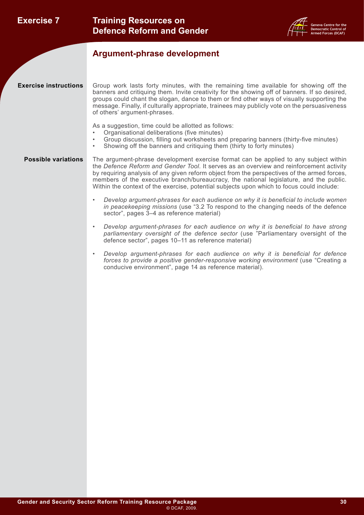## **Exercise 7**



### **Argument-phrase development**

#### **Exercise instructions** Group work lasts forty minutes, with the remaining time available for showing off the banners and critiquing them. Invite creativity for the showing off of banners. If so desired, groups could chant the slogan, dance to them or find other ways of visually supporting the message. Finally, if culturally appropriate, trainees may publicly vote on the persuasiveness of others' argument-phrases.

As a suggestion, time could be allotted as follows:

- Organisational deliberations (five minutes)
- Group discussion, filling out worksheets and preparing banners (thirty-five minutes)
- Showing off the banners and critiquing them (thirty to forty minutes)

**Possible variations** The argument-phrase development exercise format can be applied to any subject within the *Defence Reform and Gender Tool*. It serves as an overview and reinforcement activity by requiring analysis of any given reform object from the perspectives of the armed forces, members of the executive branch/bureaucracy, the national legislature, and the public. Within the context of the exercise, potential subjects upon which to focus could include:

- *• Develop argument-phrases for each audience on why it is beneficial to include women in peacekeeping missions* (use "3.2 To respond to the changing needs of the defence sector", pages 3–4 as reference material)
- *• Develop argument-phrases for each audience on why it is beneficial to have strong parliamentary oversight of the defence sector* (use "Parliamentary oversight of the defence sector", pages 10–11 as reference material)
- *• Develop argument-phrases for each audience on why it is beneficial for defence forces to provide a positive gender-responsive working environment* (use "Creating a conducive environment", page 14 as reference material).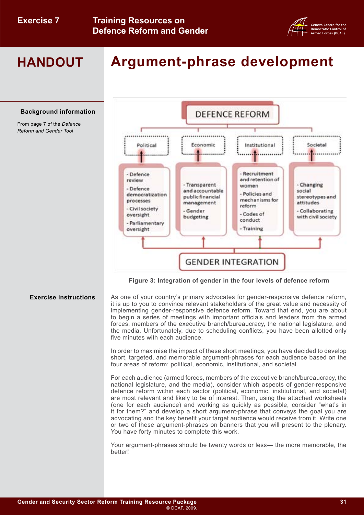

# **Argument-phrase development**



From page 7 of the *Defence Reform and Gender Tool*



**Figure 3: Integration of gender in the four levels of defence reform**

**Exercise instructions** As one of your country's primary advocates for gender-responsive defence reform, it is up to you to convince relevant stakeholders of the great value and necessity of implementing gender-responsive defence reform. Toward that end, you are about to begin a series of meetings with important officials and leaders from the armed forces, members of the executive branch/bureaucracy, the national legislature, and the media. Unfortunately, due to scheduling conflicts, you have been allotted only five minutes with each audience.

> In order to maximise the impact of these short meetings, you have decided to develop short, targeted, and memorable argument-phrases for each audience based on the four areas of reform: political, economic, institutional, and societal.

> For each audience (armed forces, members of the executive branch/bureaucracy, the national legislature, and the media), consider which aspects of gender-responsive defence reform within each sector (political, economic, institutional, and societal) are most relevant and likely to be of interest. Then, using the attached worksheets (one for each audience) and working as quickly as possible, consider "what's in it for them?" and develop a short argument-phrase that conveys the goal you are advocating and the key benefit your target audience would receive from it. Write one or two of these argument-phrases on banners that you will present to the plenary. You have forty minutes to complete this work.

> Your argument-phrases should be twenty words or less— the more memorable, the better!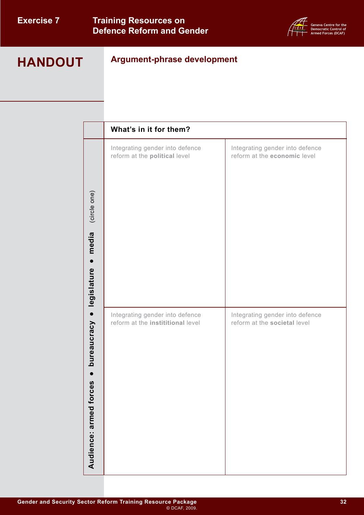

# **Argument-phrase development**

|                                   | What's in it for them?            |                                 |
|-----------------------------------|-----------------------------------|---------------------------------|
|                                   |                                   |                                 |
| (circle one)                      | Integrating gender into defence   | Integrating gender into defence |
| bureaucracy · legislature · media | reform at the political level     | reform at the economic level    |
| 89                                | Integrating gender into defence   | Integrating gender into defence |
| Audience: armed forc              | reform at the instititional level | reform at the societal level    |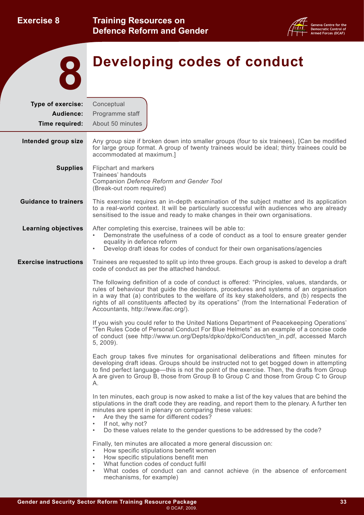<span id="page-35-0"></span>

| <b>Exercise 8</b>                                | <b>Training Resources on</b><br><b>Defence Reform and Gender</b>                                                                                                                                                                                                                                                                                                                                                                 |
|--------------------------------------------------|----------------------------------------------------------------------------------------------------------------------------------------------------------------------------------------------------------------------------------------------------------------------------------------------------------------------------------------------------------------------------------------------------------------------------------|
|                                                  | <b>Developing codes of conduct</b>                                                                                                                                                                                                                                                                                                                                                                                               |
| Type of exercise:<br>Audience:<br>Time required: | Conceptual<br>Programme staff<br>About 50 minutes                                                                                                                                                                                                                                                                                                                                                                                |
| Intended group size                              | Any group size if broken down into smaller groups (four to six trainees), [Can be modified<br>for large group format. A group of twenty trainees would be ideal; thirty trainees could be<br>accommodated at maximum.]                                                                                                                                                                                                           |
| <b>Supplies</b>                                  | Flipchart and markers<br>Trainees' handouts<br>Companion Defence Reform and Gender Tool<br>(Break-out room required)                                                                                                                                                                                                                                                                                                             |
| <b>Guidance to trainers</b>                      | This exercise requires an in-depth examination of the subject matter and its application<br>to a real-world context. It will be particularly successful with audiences who are already<br>sensitised to the issue and ready to make changes in their own organisations.                                                                                                                                                          |
| <b>Learning objectives</b>                       | After completing this exercise, trainees will be able to:<br>Demonstrate the usefulness of a code of conduct as a tool to ensure greater gender<br>equality in defence reform<br>Develop draft ideas for codes of conduct for their own organisations/agencies                                                                                                                                                                   |
| <b>Exercise instructions</b>                     | Trainees are requested to split up into three groups. Each group is asked to develop a draft<br>code of conduct as per the attached handout.                                                                                                                                                                                                                                                                                     |
|                                                  | The following definition of a code of conduct is offered: "Principles, values, standards, or<br>rules of behaviour that guide the decisions, procedures and systems of an organisation<br>in a way that (a) contributes to the welfare of its key stakeholders, and (b) respects the<br>rights of all constituents affected by its operations" (from the International Federation of<br>Accountants, http://www.ifac.org/).      |
|                                                  | If you wish you could refer to the United Nations Department of Peacekeeping Operations'<br>"Ten Rules Code of Personal Conduct For Blue Helmets" as an example of a concise code<br>of conduct (see http://www.un.org/Depts/dpko/dpko/Conduct/ten_in.pdf, accessed March<br>5, 2009).                                                                                                                                           |
|                                                  | Each group takes five minutes for organisational deliberations and fifteen minutes for<br>developing draft ideas. Groups should be instructed not to get bogged down in attempting<br>to find perfect language—this is not the point of the exercise. Then, the drafts from Group<br>A are given to Group B, those from Group B to Group C and those from Group C to Group<br>А.                                                 |
|                                                  | In ten minutes, each group is now asked to make a list of the key values that are behind the<br>stipulations in the draft code they are reading, and report them to the plenary. A further ten<br>minutes are spent in plenary on comparing these values:<br>Are they the same for different codes?<br>If not, why not?<br>$\bullet$<br>Do these values relate to the gender questions to be addressed by the code?<br>$\bullet$ |
|                                                  | Finally, ten minutes are allocated a more general discussion on:<br>How specific stipulations benefit women<br>How specific stipulations benefit men<br>$\bullet$<br>What function codes of conduct fulfil<br>$\bullet$<br>What codes of conduct can and cannot achieve (in the absence of enforcement<br>$\bullet$<br>mechanisms, for example)                                                                                  |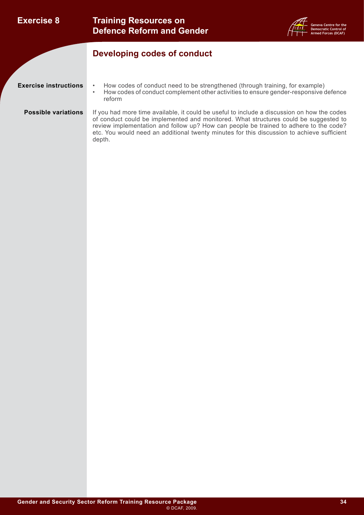| <b>Exercise 8</b>                                                                                                                                                                                                                                                                                                                                                                                                  | <b>Training Resources on</b><br><b>Defence Reform and Gender</b><br><b>Armed Forces (DCAF)</b>                                                                                              |  |
|--------------------------------------------------------------------------------------------------------------------------------------------------------------------------------------------------------------------------------------------------------------------------------------------------------------------------------------------------------------------------------------------------------------------|---------------------------------------------------------------------------------------------------------------------------------------------------------------------------------------------|--|
|                                                                                                                                                                                                                                                                                                                                                                                                                    | Developing codes of conduct                                                                                                                                                                 |  |
| <b>Exercise instructions</b>                                                                                                                                                                                                                                                                                                                                                                                       | How codes of conduct need to be strengthened (through training, for example)<br>How codes of conduct complement other activities to ensure gender-responsive defence<br>$\bullet$<br>reform |  |
| <b>Possible variations</b><br>If you had more time available, it could be useful to include a discussion on how the codes<br>of conduct could be implemented and monitored. What structures could be suggested to<br>review implementation and follow up? How can people be trained to adhere to the code?<br>etc. You would need an additional twenty minutes for this discussion to achieve sufficient<br>depth. |                                                                                                                                                                                             |  |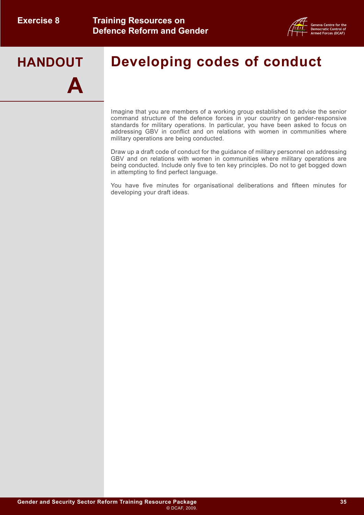**A**



## **HANDOUT Developing codes of conduct**

Imagine that you are members of a working group established to advise the senior command structure of the defence forces in your country on gender-responsive standards for military operations. In particular, you have been asked to focus on addressing GBV in conflict and on relations with women in communities where military operations are being conducted.

Draw up a draft code of conduct for the guidance of military personnel on addressing GBV and on relations with women in communities where military operations are being conducted. Include only five to ten key principles. Do not to get bogged down in attempting to find perfect language.

You have five minutes for organisational deliberations and fifteen minutes for developing your draft ideas.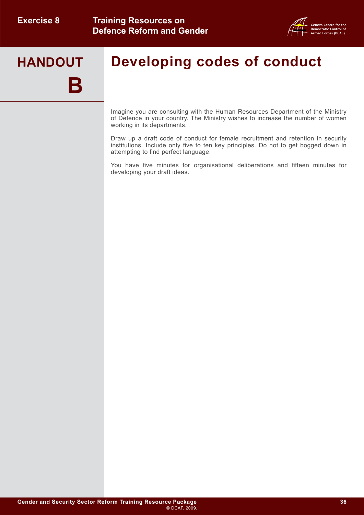**B**



# **HANDOUT Developing codes of conduct**

Imagine you are consulting with the Human Resources Department of the Ministry of Defence in your country. The Ministry wishes to increase the number of women working in its departments.

Draw up a draft code of conduct for female recruitment and retention in security institutions. Include only five to ten key principles. Do not to get bogged down in attempting to find perfect language.

You have five minutes for organisational deliberations and fifteen minutes for developing your draft ideas.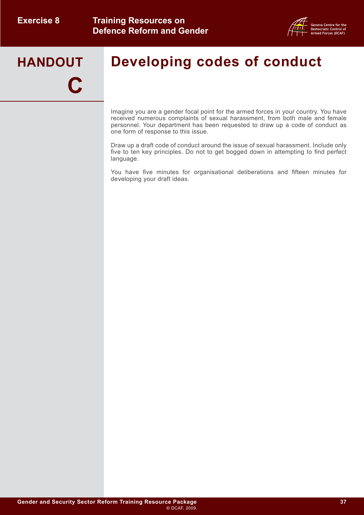**C**



# **HANDOUT Developing codes of conduct**

Imagine you are a gender focal point for the armed forces in your country. You have received numerous complaints of sexual harassment, from both male and female personnel. Your department has been requested to draw up a code of conduct as one form of response to this issue.

Draw up a draft code of conduct around the issue of sexual harassment. Include only five to ten key principles. Do not to get bogged down in attempting to find perfect language.

You have five minutes for organisational deliberations and fifteen minutes for developing your draft ideas.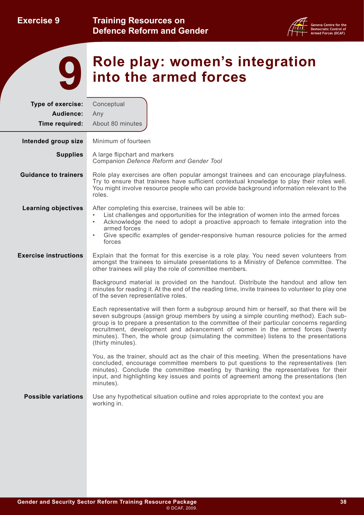<span id="page-40-0"></span>**Exercise 9**





# **Role play: women's integration 9 into the armed forces**

| Type of exercise:<br>Audience:<br>Time required: | Conceptual<br>Any<br>About 80 minutes                                                                                                                                                                                                                                                                                                                                                                                                                                            |  |  |
|--------------------------------------------------|----------------------------------------------------------------------------------------------------------------------------------------------------------------------------------------------------------------------------------------------------------------------------------------------------------------------------------------------------------------------------------------------------------------------------------------------------------------------------------|--|--|
| Intended group size                              | Minimum of fourteen                                                                                                                                                                                                                                                                                                                                                                                                                                                              |  |  |
| <b>Supplies</b>                                  | A large flipchart and markers<br>Companion Defence Reform and Gender Tool                                                                                                                                                                                                                                                                                                                                                                                                        |  |  |
| <b>Guidance to trainers</b>                      | Role play exercises are often popular amongst trainees and can encourage playfulness.<br>Try to ensure that trainees have sufficient contextual knowledge to play their roles well.<br>You might involve resource people who can provide background information relevant to the<br>roles.                                                                                                                                                                                        |  |  |
| <b>Learning objectives</b>                       | After completing this exercise, trainees will be able to:<br>List challenges and opportunities for the integration of women into the armed forces<br>Acknowledge the need to adopt a proactive approach to female integration into the<br>$\bullet$<br>armed forces<br>Give specific examples of gender-responsive human resource policies for the armed<br>$\bullet$<br>forces                                                                                                  |  |  |
| <b>Exercise instructions</b>                     | Explain that the format for this exercise is a role play. You need seven volunteers from<br>amongst the trainees to simulate presentations to a Ministry of Defence committee. The<br>other trainees will play the role of committee members.                                                                                                                                                                                                                                    |  |  |
|                                                  | Background material is provided on the handout. Distribute the handout and allow ten<br>minutes for reading it. At the end of the reading time, invite trainees to volunteer to play one<br>of the seven representative roles.                                                                                                                                                                                                                                                   |  |  |
|                                                  | Each representative will then form a subgroup around him or herself, so that there will be<br>seven subgroups (assign group members by using a simple counting method). Each sub-<br>group is to prepare a presentation to the committee of their particular concerns regarding<br>recruitment, development and advancement of women in the armed forces (twenty<br>minutes). Then, the whole group (simulating the committee) listens to the presentations<br>(thirty minutes). |  |  |
|                                                  | You, as the trainer, should act as the chair of this meeting. When the presentations have<br>concluded, encourage committee members to put questions to the representatives (ten<br>minutes). Conclude the committee meeting by thanking the representatives for their<br>input, and highlighting key issues and points of agreement among the presentations (ten<br>minutes).                                                                                                   |  |  |
| <b>Possible variations</b>                       | Use any hypothetical situation outline and roles appropriate to the context you are<br>working in.                                                                                                                                                                                                                                                                                                                                                                               |  |  |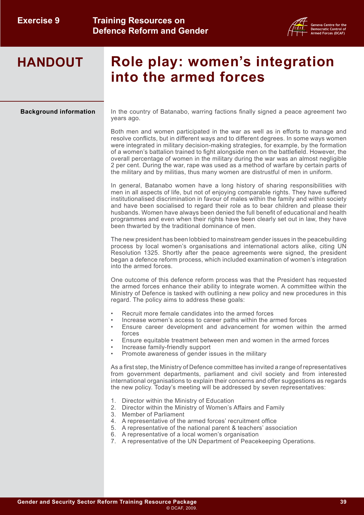

# **HANDOUT Role play: women's integration into the armed forces**

#### **Background information**

In the country of Batanabo, warring factions finally signed a peace agreement two years ago.

Both men and women participated in the war as well as in efforts to manage and resolve conflicts, but in different ways and to different degrees. In some ways women were integrated in military decision-making strategies, for example, by the formation of a women's battalion trained to fight alongside men on the battlefield. However, the overall percentage of women in the military during the war was an almost negligible 2 per cent. During the war, rape was used as a method of warfare by certain parts of the military and by militias, thus many women are distrustful of men in uniform.

In general, Batanabo women have a long history of sharing responsibilities with men in all aspects of life, but not of enjoying comparable rights. They have suffered institutionalised discrimination in favour of males within the family and within society and have been socialised to regard their role as to bear children and please their husbands. Women have always been denied the full benefit of educational and health programmes and even when their rights have been clearly set out in law, they have been thwarted by the traditional dominance of men.

The new president has been lobbied to mainstream gender issues in the peacebuilding process by local women's organisations and international actors alike, citing UN Resolution 1325. Shortly after the peace agreements were signed, the president began a defence reform process, which included examination of women's integration into the armed forces.

One outcome of this defence reform process was that the President has requested the armed forces enhance their ability to integrate women. A committee within the Ministry of Defence is tasked with outlining a new policy and new procedures in this regard. The policy aims to address these goals:

- Recruit more female candidates into the armed forces
- Increase women's access to career paths within the armed forces
- Ensure career development and advancement for women within the armed forces
- Ensure equitable treatment between men and women in the armed forces
- Increase family-friendly support
- Promote awareness of gender issues in the military

As a first step, the Ministry of Defence committee has invited a range of representatives from government departments, parliament and civil society and from interested international organisations to explain their concerns and offer suggestions as regards the new policy. Today's meeting will be addressed by seven representatives:

- 1. Director within the Ministry of Education
- 2. Director within the Ministry of Women's Affairs and Family
- 3. Member of Parliament
- 4. A representative of the armed forces' recruitment office
- 5. A representative of the national parent & teachers' association
- 6. A representative of a local women's organisation
- 7. A representative of the UN Department of Peacekeeping Operations.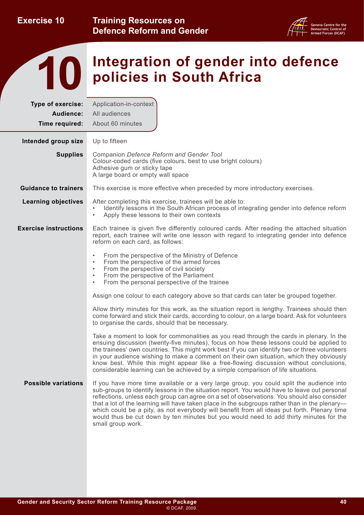<span id="page-42-0"></span>**Exercise 10**



# **ID Integration of gender into defence**

| Type of exercise:            | Application-in-context                                                                                                                                                                                                                                                                                                                                                                                                                                                                                                                                                                                 |  |  |  |
|------------------------------|--------------------------------------------------------------------------------------------------------------------------------------------------------------------------------------------------------------------------------------------------------------------------------------------------------------------------------------------------------------------------------------------------------------------------------------------------------------------------------------------------------------------------------------------------------------------------------------------------------|--|--|--|
| Audience:                    | All audiences                                                                                                                                                                                                                                                                                                                                                                                                                                                                                                                                                                                          |  |  |  |
| Time required:               | About 60 minutes                                                                                                                                                                                                                                                                                                                                                                                                                                                                                                                                                                                       |  |  |  |
| Intended group size          | Up to fifteen                                                                                                                                                                                                                                                                                                                                                                                                                                                                                                                                                                                          |  |  |  |
| <b>Supplies</b>              | Companion Defence Reform and Gender Tool<br>Colour-coded cards (five colours, best to use bright colours)<br>Adhesive gum or sticky tape<br>A large board or empty wall space                                                                                                                                                                                                                                                                                                                                                                                                                          |  |  |  |
| <b>Guidance to trainers</b>  | This exercise is more effective when preceded by more introductory exercises.                                                                                                                                                                                                                                                                                                                                                                                                                                                                                                                          |  |  |  |
| <b>Learning objectives</b>   | After completing this exercise, trainees will be able to:<br>Identify lessons in the South African process of integrating gender into defence reform<br>$\bullet$<br>Apply these lessons to their own contexts<br>$\bullet$                                                                                                                                                                                                                                                                                                                                                                            |  |  |  |
| <b>Exercise instructions</b> | Each trainee is given five differently coloured cards. After reading the attached situation<br>report, each trainee will write one lesson with regard to integrating gender into defence<br>reform on each card, as follows:                                                                                                                                                                                                                                                                                                                                                                           |  |  |  |
|                              | From the perspective of the Ministry of Defence<br>$\bullet$<br>From the perspective of the armed forces<br>$\bullet$<br>From the perspective of civil society<br>$\bullet$<br>From the perspective of the Parliament<br>$\bullet$<br>From the personal perspective of the trainee<br>$\bullet$                                                                                                                                                                                                                                                                                                        |  |  |  |
|                              | Assign one colour to each category above so that cards can later be grouped together.                                                                                                                                                                                                                                                                                                                                                                                                                                                                                                                  |  |  |  |
|                              | Allow thirty minutes for this work, as the situation report is lengthy. Trainees should then<br>come forward and stick their cards, according to colour, on a large board. Ask for volunteers<br>to organise the cards, should that be necessary.                                                                                                                                                                                                                                                                                                                                                      |  |  |  |
|                              | Take a moment to look for commonalities as you read through the cards in plenary. In the<br>ensuing discussion (twenty-five minutes), focus on how these lessons could be applied to<br>the trainees' own countries. This might work best if you can identify two or three volunteers<br>in your audience wishing to make a comment on their own situation, which they obviously<br>know best. While this might appear like a free-flowing discussion without conclusions,<br>considerable learning can be achieved by a simple comparison of life situations.                                         |  |  |  |
| <b>Possible variations</b>   | If you have more time available or a very large group, you could split the audience into<br>sub-groups to identify lessons in the situation report. You would have to leave out personal<br>reflections, unless each group can agree on a set of observations. You should also consider<br>that a lot of the learning will have taken place in the subgroups rather than in the plenary-<br>which could be a pity, as not everybody will benefit from all ideas put forth. Plenary time<br>would thus be cut down by ten minutes but you would need to add thirty minutes for the<br>small group work. |  |  |  |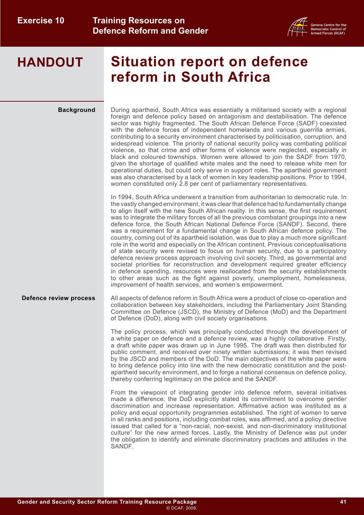

# **HANDOUT Situation report on defence reform in South Africa**

**Background** 

During apartheid, South Africa was essentially a militarised society with a regional foreign and defence policy based on antagonism and destabilisation. The defence sector was highly fragmented. The South African Defence Force (SADF) coexisted with the defence forces of independent homelands and various guerrilla armies, contributing to a security environment characterised by politicisation, corruption, and widespread violence. The priority of national security policy was combating political violence, so that crime and other forms of violence were neglected, especially in black and coloured townships. Women were allowed to join the SADF from 1970, given the shortage of qualified white males and the need to release white men for operational duties, but could only serve in support roles. The apartheid government was also characterised by a lack of women in key leadership positions. Prior to 1994, women constituted only 2.8 per cent of parliamentary representatives.

In 1994, South Africa underwent a transition from authoritarian to democratic rule. In the vastly changed environment, it was clear that defence had to fundamentally change to align itself with the new South African reality. In this sense, the first requirement was to integrate the military forces of all the previous combatant groupings into a new defence force, the South African National Defence Force (SANDF). Second, there was a requirement for a fundamental change in South African defence policy. The country, coming out of its apartheid isolation, was due to play a much more significant role in the world and especially on the African continent. Previous conceptualisations of state security were revised to focus on human security, due to a participatory defence review process approach involving civil society. Third, as governmental and societal priorities for reconstruction and development required greater efficiency in defence spending, resources were reallocated from the security establishments to other areas such as the fight against poverty, unemployment, homelessness, improvement of health services, and women's empowerment.

#### All aspects of defence reform in South Africa were a product of close co-operation and collaboration between key stakeholders, including the Parliamentary Joint Standing Committee on Defence (JSCD), the Ministry of Defence (MoD) and the Department of Defence (DoD), along with civil society organisations. **Defence review process**

The policy process, which was principally conducted through the development of a white paper on defence and a defence review, was a highly collaborative. Firstly, a draft white paper was drawn up in June 1995. The draft was then distributed for public comment, and received over ninety written submissions; it was then revised by the JSCD and members of the DoD. The main objectives of the white paper were to bring defence policy into line with the new democratic constitution and the postapartheid security environment, and to forge a national consensus on defence policy, thereby conferring legitimacy on the police and the SANDF.

From the viewpoint of integrating gender into defence reform, several initiatives made a difference: the DoD explicitly stated its commitment to overcome gender discrimination and increase representation. Affirmative action was instituted as a policy and equal opportunity programmes established. The right of women to serve in all ranks and positions, including combat roles, was affirmed, and a policy directive issued that called for a "non-racial, non-sexist, and non-discriminatory institutional culture" for the new armed forces. Lastly, the Ministry of Defence was put under the obligation to identify and eliminate discriminatory practices and attitudes in the SANDF.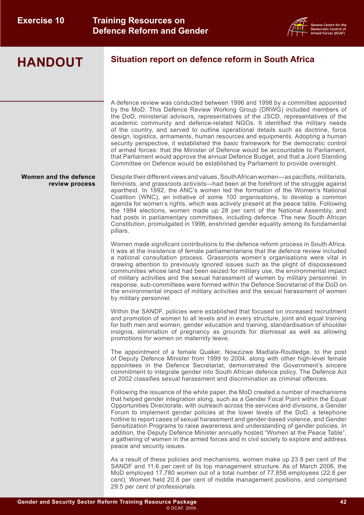

### **Situation report on defence reform in South Africa**

A defence review was conducted between 1996 and 1998 by a committee appointed by the MoD. This Defence Review Working Group (DRWG) included members of the DoD, ministerial advisors, representatives of the JSCD, representatives of the academic community and defence-related NGOs. It identified the military needs of the country, and served to outline operational details such as doctrine, force design, logistics, armaments, human resources and equipments. Adopting a human security perspective, it established the basic framework for the democratic control of armed forces: that the Minister of Defence would be accountable to Parliament, that Parliament would approve the annual Defence Budget, and that a Joint Standing Committee on Defence would be established by Parliament to provide oversight.

**Women and the defence review process** Despite their different views and values, South African women—as pacifists, militarists, feminists, and grassroots activists—had been at the forefront of the struggle against apartheid. In 1992, the ANC's women led the formation of the Women's National Coalition (WNC), an initiative of some 100 organisations, to develop a common agenda for women's rights, which was actively present at the peace table. Following the 1994 elections, women made up 28 per cent of the National Assembly, and had posts in parliamentary committees, including defence. The new South African Constitution, promulgated in 1996, enshrined gender equality among its fundamental pillars.

> Women made significant contributions to the defence reform process in South Africa. It was at the insistence of female parliamentarians that the defence review included a national consultation process. Grassroots women's organisations were vital in drawing attention to previously ignored issues such as the plight of dispossessed communities whose land had been seized for military use, the environmental impact of military activities and the sexual harassment of women by military personnel. In response, sub-committees were formed within the Defence Secretariat of the DoD on the environmental impact of military activities and the sexual harassment of women by military personnel.

> Within the SANDF, policies were established that focused on increased recruitment and promotion of women to all levels and in every structure, joint and equal training for both men and women, gender education and training, standardisation of shoulder insignia, elimination of pregnancy as grounds for dismissal as well as allowing promotions for women on maternity leave.

> The appointment of a female Quaker, Nowzizwe Madlala-Routledge, to the post of Deputy Defence Minister from 1999 to 2004, along with other high-level female appointees in the Defence Secretariat, demonstrated the Government's sincere commitment to integrate gender into South African defence policy. The Defence Act of 2002 classifies sexual harassment and discrimination as criminal offences.

> Following the issuance of the white paper, the MoD created a number of mechanisms that helped gender integration along, such as a Gender Focal Point within the Equal Opportunities Directorate, with outreach across the services and divisions, a Gender Forum to implement gender policies at the lower levels of the DoD, a telephone hotline to report cases of sexual harassment and gender-based violence, and Gender Sensitization Programs to raise awareness and understanding of gender policies. In addition, the Deputy Defence Minister annually hosted "Women at the Peace Table", a gathering of women in the armed forces and in civil society to explore and address peace and security issues.

> As a result of these policies and mechanisms, women make up 23.8 per cent of the SANDF and 11.6 per cent of its top management structure. As of March 2006, the MoD employed 17,780 women out of a total number of 77,858 employees (22.8 per cent). Women held 20.8 per cent of middle management positions, and comprised 29.5 per cent of professionals.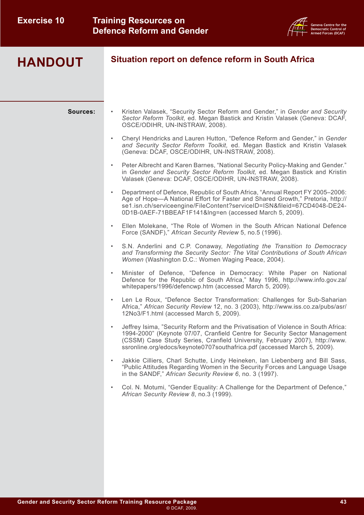

| <b>HANDOUT</b> |  |  |
|----------------|--|--|
|                |  |  |

## **Situation report on defence reform in South Africa**

- **Sources:**  Kristen Valasek, "Security Sector Reform and Gender," in *Gender and Security Sector Reform Toolkit,* ed. Megan Bastick and Kristin Valasek (Geneva: DCAF, OSCE/ODIHR, UN-INSTRAW, 2008).
	- Cheryl Hendricks and Lauren Hutton, "Defence Reform and Gender," in *Gender and Security Sector Reform Toolkit,* ed. Megan Bastick and Kristin Valasek (Geneva: DCAF, OSCE/ODIHR, UN-INSTRAW, 2008).
	- Peter Albrecht and Karen Barnes, "National Security Policy-Making and Gender." in *Gender and Security Sector Reform Toolkit,* ed. Megan Bastick and Kristin Valasek (Geneva: DCAF, OSCE/ODIHR, UN-INSTRAW, 2008).
	- Department of Defence, Republic of South Africa, "Annual Report FY 2005–2006: Age of Hope—A National Effort for Faster and Shared Growth," Pretoria, [http://](http://se1.isn.ch/serviceengine/FileContent?serviceID=ISN&fileid=67CD4048-DE24-0D1B-0AEF-71BBEAF1F141&lng=en) [se1.isn.ch/serviceengine/FileContent?serviceID=ISN&fileid=67CD4048-DE24-](http://se1.isn.ch/serviceengine/FileContent?serviceID=ISN&fileid=67CD4048-DE24-0D1B-0AEF-71BBEAF1F141&lng=en) [0D1B-0AEF-71BBEAF1F141&lng=en](http://se1.isn.ch/serviceengine/FileContent?serviceID=ISN&fileid=67CD4048-DE24-0D1B-0AEF-71BBEAF1F141&lng=en) (accessed March 5, 2009).
	- Ellen Molekane, "The Role of Women in the South African National Defence Force (SANDF)," *African Security Review* 5, no.5 (1996).
	- S.N. Anderlini and C.P. Conaway, *Negotiating the Transition to Democracy and Transforming the Security Sector: The Vital Contributions of South African Women* (Washington D.C.: Women Waging Peace, 2004).
	- Minister of Defence, "Defence in Democracy: White Paper on National Defence for the Republic of South Africa," May 1996, [http://www.info.gov.za/](http://www.info.gov.za/whitepapers/1996/defencwp.htm) [whitepapers/1996/defencwp.htm](http://www.info.gov.za/whitepapers/1996/defencwp.htm) (accessed March 5, 2009).
	- Len Le Roux, "Defence Sector Transformation: Challenges for Sub-Saharian Africa," *African Security Review* 12, no. 3 (2003), [http://www.iss.co.za/pubs/asr/](http://www.iss.co.za/pubs/asr/12No3/F1.html) [12No3/F1.html](http://www.iss.co.za/pubs/asr/12No3/F1.html) (accessed March 5, 2009).
	- Jeffrey Isima, "Security Reform and the Privatisation of Violence in South Africa: 1994-2000" (Keynote 07/07, Cranfield Centre for Security Sector Management (CSSM) Case Study Series, Cranfield University, February 2007), [http://www.](http://www.ssronline.org/edocs/keynote0707southafrica.pdf) [ssronline.org/edocs/keynote0707southafrica.pdf](http://www.ssronline.org/edocs/keynote0707southafrica.pdf) (accessed March 5, 2009).
	- Jakkie Cilliers, Charl Schutte, Lindy Heineken, Ian Liebenberg and Bill Sass, "Public Attitudes Regarding Women in the Security Forces and Language Usage in the SANDF," *African Security Review 6*, no. 3 (1997).
	- Col. N. Motumi, "Gender Equality: A Challenge for the Department of Defence," *African Security Review 8*, no.3 (1999).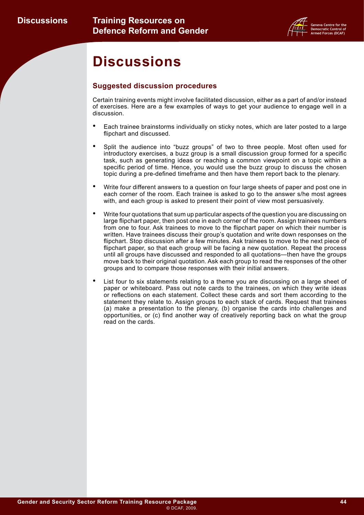

# <span id="page-46-0"></span>**Discussions**

#### **Suggested discussion procedures**

Certain training events might involve facilitated discussion, either as a part of and/or instead of exercises. Here are a few examples of ways to get your audience to engage well in a discussion.

- Each trainee brainstorms individually on sticky notes, which are later posted to a large flipchart and discussed.
- Split the audience into "buzz groups" of two to three people. Most often used for introductory exercises, a buzz group is a small discussion group formed for a specific task, such as generating ideas or reaching a common viewpoint on a topic within a specific period of time. Hence, you would use the buzz group to discuss the chosen topic during a pre-defined timeframe and then have them report back to the plenary.
- Write four different answers to a question on four large sheets of paper and post one in each corner of the room. Each trainee is asked to go to the answer s/he most agrees with, and each group is asked to present their point of view most persuasively.
- Write four quotations that sum up particular aspects of the question you are discussing on large flipchart paper, then post one in each corner of the room. Assign trainees numbers from one to four. Ask trainees to move to the flipchart paper on which their number is written. Have trainees discuss their group's quotation and write down responses on the flipchart. Stop discussion after a few minutes. Ask trainees to move to the next piece of flipchart paper, so that each group will be facing a new quotation. Repeat the process until all groups have discussed and responded to all quotations—then have the groups move back to their original quotation. Ask each group to read the responses of the other groups and to compare those responses with their initial answers.
- List four to six statements relating to a theme you are discussing on a large sheet of paper or whiteboard. Pass out note cards to the trainees, on which they write ideas or reflections on each statement. Collect these cards and sort them according to the statement they relate to. Assign groups to each stack of cards. Request that trainees (a) make a presentation to the plenary, (b) organise the cards into challenges and opportunities, or (c) find another way of creatively reporting back on what the group read on the cards.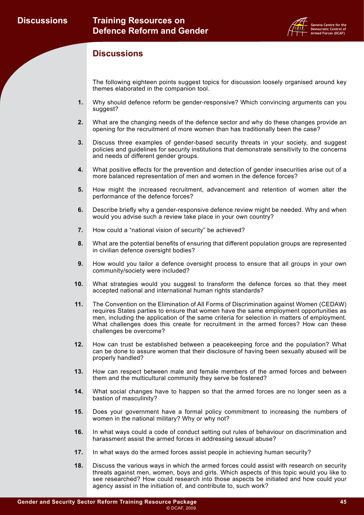

## **Discussions**

The following eighteen points suggest topics for discussion loosely organised around key themes elaborated in the companion tool.

- **1.** Why should defence reform be gender-responsive? Which convincing arguments can you suggest?
- **2.** What are the changing needs of the defence sector and why do these changes provide an opening for the recruitment of more women than has traditionally been the case?
- **3.** Discuss three examples of gender-based security threats in your society, and suggest policies and guidelines for security institutions that demonstrate sensitivity to the concerns and needs of different gender groups.
- **4.** What positive effects for the prevention and detection of gender insecurities arise out of a more balanced representation of men and women in the defence forces?
- **5.** How might the increased recruitment, advancement and retention of women alter the performance of the defence forces?
- **6.** Describe briefly why a gender-responsive defence review might be needed. Why and when would you advise such a review take place in your own country?
- **7.** How could a "national vision of security" be achieved?
- **8.** What are the potential benefits of ensuring that different population groups are represented in civilian defence oversight bodies?
- **9.** How would you tailor a defence oversight process to ensure that all groups in your own community/society were included?
- **10.** What strategies would you suggest to transform the defence forces so that they meet accepted national and international human rights standards?
- **11.** The Convention on the Elimination of All Forms of Discrimination against Women (CEDAW) requires States parties to ensure that women have the same employment opportunities as men, including the application of the same criteria for selection in matters of employment. What challenges does this create for recruitment in the armed forces? How can these challenges be overcome?
- **12.** How can trust be established between a peacekeeping force and the population? What can be done to assure women that their disclosure of having been sexually abused will be properly handled?
- **13.** How can respect between male and female members of the armed forces and between them and the multicultural community they serve be fostered?
- **14.** What social changes have to happen so that the armed forces are no longer seen as a bastion of masculinity?
- **15.** Does your government have a formal policy commitment to increasing the numbers of women in the national military? Why or why not?
- **16.** In what ways could a code of conduct setting out rules of behaviour on discrimination and harassment assist the armed forces in addressing sexual abuse?
- **17.** In what ways do the armed forces assist people in achieving human security?
- **18.** Discuss the various ways in which the armed forces could assist with research on security threats against men, women, boys and girls. Which aspects of this topic would you like to see researched? How could research into those aspects be initiated and how could your agency assist in the initiation of, and contribute to, such work?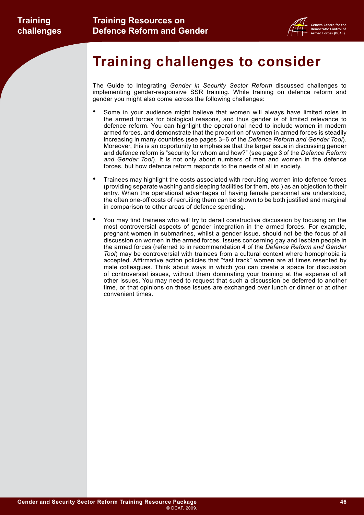

# <span id="page-48-0"></span>**Training challenges to consider**

The Guide to Integrating *Gender in Security Sector Reform* discussed challenges to implementing gender-responsive SSR training. While training on defence reform and gender you might also come across the following challenges:

- Some in your audience might believe that women will always have limited roles in the armed forces for biological reasons, and thus gender is of limited relevance to defence reform. You can highlight the operational need to include women in modern armed forces, and demonstrate that the proportion of women in armed forces is steadily increasing in many countries (see pages 3–6 of the *Defence Reform and Gender Tool*). Moreover, this is an opportunity to emphasise that the larger issue in discussing gender and defence reform is "security for whom and how?" (see page 3 of the *Defence Reform and Gender Tool*). It is not only about numbers of men and women in the defence forces, but how defence reform responds to the needs of all in society.
- Trainees may highlight the costs associated with recruiting women into defence forces (providing separate washing and sleeping facilities for them, etc.) as an objection to their entry. When the operational advantages of having female personnel are understood, the often one-off costs of recruiting them can be shown to be both justified and marginal in comparison to other areas of defence spending.
- You may find trainees who will try to derail constructive discussion by focusing on the most controversial aspects of gender integration in the armed forces. For example, pregnant women in submarines, whilst a gender issue, should not be the focus of all discussion on women in the armed forces. Issues concerning gay and lesbian people in the armed forces (referred to in recommendation 4 of the *Defence Reform and Gender Tool*) may be controversial with trainees from a cultural context where homophobia is accepted. Affirmative action policies that "fast track" women are at times resented by male colleagues. Think about ways in which you can create a space for discussion of controversial issues, without them dominating your training at the expense of all other issues. You may need to request that such a discussion be deferred to another time, or that opinions on these issues are exchanged over lunch or dinner or at other convenient times.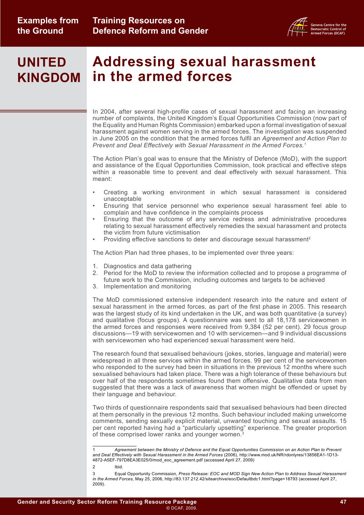

#### <span id="page-49-0"></span>**Addressing sexual harassment in the armed forces UNITED KINGDOM**

In 2004, after several high-profile cases of sexual harassment and facing an increasing number of complaints, the United Kingdom's Equal Opportunities Commission (now part of the Equality and Human Rights Commission) embarked upon a formal investigation of sexual harassment against women serving in the armed forces. The investigation was suspended in June 2005 on the condition that the armed forces fulfil an *Agreement and Action Plan to Prevent and Deal Effectively with Sexual Harassment in the Armed Forces.1*

The Action Plan's goal was to ensure that the Ministry of Defence (MoD), with the support and assistance of the Equal Opportunities Commission, took practical and effective steps within a reasonable time to prevent and deal effectively with sexual harassment. This meant:

- Creating a working environment in which sexual harassment is considered unacceptable
- Ensuring that service personnel who experience sexual harassment feel able to complain and have confidence in the complaints process
- Ensuring that the outcome of any service redress and administrative procedures relating to sexual harassment effectively remedies the sexual harassment and protects the victim from future victimisation
- Providing effective sanctions to deter and discourage sexual harassment<sup>2</sup>

The Action Plan had three phases, to be implemented over three years:

- 1. Diagnostics and data gathering
- 2. Period for the MoD to review the information collected and to propose a programme of future work to the Commission, including outcomes and targets to be achieved
- 3. Implementation and monitoring

The MoD commissioned extensive independent research into the nature and extent of sexual harassment in the armed forces, as part of the first phase in 2005. This research was the largest study of its kind undertaken in the UK, and was both quantitative (a survey) and qualitative (focus groups). A questionnaire was sent to all 18,178 servicewomen in the armed forces and responses were received from 9,384 (52 per cent). 29 focus group discussions—19 with servicewomen and 10 with servicemen—and 9 individual discussions with servicewomen who had experienced sexual harassment were held.

The research found that sexualised behaviours (jokes, stories, language and material) were widespread in all three services within the armed forces. 99 per cent of the servicewomen who responded to the survey had been in situations in the previous 12 months where such sexualised behaviours had taken place. There was a high tolerance of these behaviours but over half of the respondents sometimes found them offensive. Qualitative data from men suggested that there was a lack of awareness that women might be offended or upset by their language and behaviour.

Two thirds of questionnaire respondents said that sexualised behaviours had been directed at them personally in the previous 12 months. Such behaviour included making unwelcome comments, sending sexually explicit material, unwanted touching and sexual assaults. 15 per cent reported having had a "particularly upsetting" experience. The greater proportion of these comprised lower ranks and younger women.<sup>3</sup>

<sup>1</sup> *Agreement between the Ministry of Defence and the Equal Opportunities Commission on an Action Plan to Prevent and Deal Effectively with Sexual Harassment in the Armed Forces* (2006), [http://www.mod.uk/NR/rdonlyres/13856EA1-1D13-](http://www.mod.uk/NR/rdonlyres/13856EA1-1D13-4872-A5EF-797D8EA3E025/0/mod_eoc_agreement.pdf) [4872-A5EF-797D8EA3E025/0/mod\\_eoc\\_agreement.pdf](http://www.mod.uk/NR/rdonlyres/13856EA1-1D13-4872-A5EF-797D8EA3E025/0/mod_eoc_agreement.pdf) (accessed April 27, 2009)

<sup>2</sup> Ibid.

<sup>3</sup> Equal Opportunity Commission, *Press Release: EOC and MOD Sign New Action Plan to Address Sexual Harassment in the Armed Forces,* May 25, 2006, <http://83.137.212.42/sitearchive/eoc/Defaultbdc1.html?page=18793>(accessed April 27, 2009).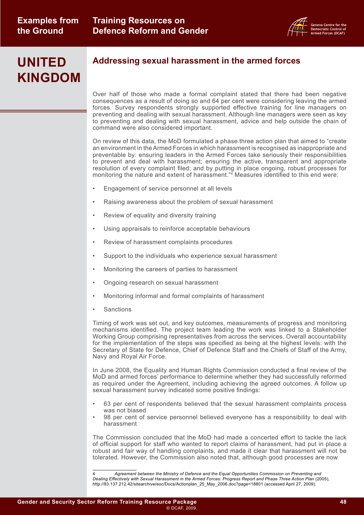

# **UNITED KINGDOM**

## **Addressing sexual harassment in the armed forces**

Over half of those who made a formal complaint stated that there had been negative consequences as a result of doing so and 64 per cent were considering leaving the armed forces. Survey respondents strongly supported effective training for line managers on preventing and dealing with sexual harassment. Although line managers were seen as key to preventing and dealing with sexual harassment, advice and help outside the chain of command were also considered important.

On review of this data, the MoD formulated a phase three action plan that aimed to "create an environment in the Armed Forces in which harassment is recognised as inappropriate and preventable by: ensuring leaders in the Armed Forces take seriously their responsibilities to prevent and deal with harassment; ensuring the active, transparent and appropriate resolution of every complaint filed; and by putting in place ongoing, robust processes for monitoring the nature and extent of harassment."<sup>4</sup> Measures identified to this end were:

- Engagement of service personnel at all levels
- Raising awareness about the problem of sexual harassment
- Review of equality and diversity training
- Using appraisals to reinforce acceptable behaviours
- Review of harassment complaints procedures
- Support to the individuals who experience sexual harassment
- Monitoring the careers of parties to harassment
- Ongoing research on sexual harassment
- Monitoring informal and formal complaints of harassment
- **Sanctions**

Timing of work was set out, and key outcomes, measurements of progress and monitoring mechanisms identified. The project team leading the work was linked to a Stakeholder Working Group comprising representatives from across the services. Overall accountability for the implementation of the steps was specified as being at the highest levels: with the Secretary of State for Defence, Chief of Defence Staff and the Chiefs of Staff of the Army, Navy and Royal Air Force.

In June 2008, the Equality and Human Rights Commission conducted a final review of the MoD and armed forces' performance to determine whether they had successfully reformed as required under the Agreement, including achieving the agreed outcomes. A follow up sexual harassment survey indicated some positive findings:

- 63 per cent of respondents believed that the sexual harassment complaints process was not biased
- 98 per cent of service personnel believed everyone has a responsibility to deal with harassment

The Commission concluded that the MoD had made a concerted effort to tackle the lack of official support for staff who wanted to report claims of harassment, had put in place a robust and fair way of handling complaints, and made it clear that harassment will not be tolerated. However, the Commission also noted that, although good processes are now

<sup>4</sup> *Agreement between the Ministry of Defence and the Equal Opportunities Commission on Preventing and Dealing Effectively with Sexual Harassment in the Armed Forces: Progress Report and Phase Three Action Plan* (2005), [http://83.137.212.42/sitearchive/eoc/Docs/Actionplan\\_25\\_May\\_2006.doc?page=18801](http://83.137.212.42/sitearchive/eoc/Docs/Actionplan_25_May_2006.doc?page=18801) (accessed April 27, 2009).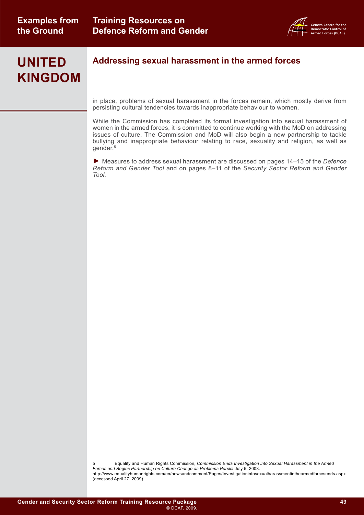

# **UNITED KINGDOM**

### **Addressing sexual harassment in the armed forces**

in place, problems of sexual harassment in the forces remain, which mostly derive from persisting cultural tendencies towards inappropriate behaviour to women.

While the Commission has completed its formal investigation into sexual harassment of women in the armed forces, it is committed to continue working with the MoD on addressing issues of culture. The Commission and MoD will also begin a new partnership to tackle bullying and inappropriate behaviour relating to race, sexuality and religion, as well as gender.<sup>5</sup>

► Measures to address sexual harassment are discussed on pages 14–15 of the *Defence Reform and Gender Tool* and on pages 8–11 of the *Security Sector Reform and Gender Tool.* 

<sup>5</sup> Equality and Human Rights Commission, *Commission Ends Investigation into Sexual Harassment in the Armed Forces and Begins Partnership on Culture Change as Problems Persist* July 5, 2008.

<http://www.equalityhumanrights.com/en/newsandcomment/Pages/Investigationintosexualharassmentinthearmedforcesends.aspx> (accessed April 27, 2009).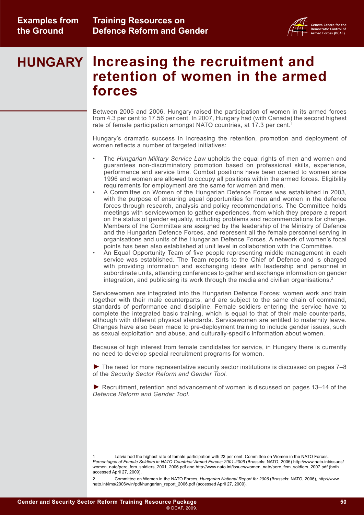

# **Increasing the recruitment and HUNGARY retention of women in the armed forces**

Between 2005 and 2006, Hungary raised the participation of women in its armed forces from 4.3 per cent to 17.56 per cent. In 2007, Hungary had (with Canada) the second highest rate of female participation amongst NATO countries, at 17.3 per cent.<sup>1</sup>

Hungary's dramatic success in increasing the retention, promotion and deployment of women reflects a number of targeted initiatives:

- The *Hungarian Military Service Law* upholds the equal rights of men and women and guarantees non-discriminatory promotion based on professional skills, experience, performance and service time. Combat positions have been opened to women since 1996 and women are allowed to occupy all positions within the armed forces. Eligibility requirements for employment are the same for women and men.
- A Committee on Women of the Hungarian Defence Forces was established in 2003, with the purpose of ensuring equal opportunities for men and women in the defence forces through research, analysis and policy recommendations. The Committee holds meetings with servicewomen to gather experiences, from which they prepare a report on the status of gender equality, including problems and recommendations for change. Members of the Committee are assigned by the leadership of the Ministry of Defence and the Hungarian Defence Forces, and represent all the female personnel serving in organisations and units of the Hungarian Defence Forces. A network of women's focal points has been also established at unit level in collaboration with the Committee.
- An Equal Opportunity Team of five people representing middle management in each service was established. The Team reports to the Chief of Defence and is charged with providing information and exchanging ideas with leadership and personnel in subordinate units, attending conferences to gather and exchange information on gender integration, and publicising its work through the media and civilian organisations.<sup>2</sup>

Servicewomen are integrated into the Hungarian Defence Forces: women work and train together with their male counterparts, and are subject to the same chain of command, standards of performance and discipline. Female soldiers entering the service have to complete the integrated basic training, which is equal to that of their male counterparts, although with different physical standards. Servicewomen are entitled to maternity leave. Changes have also been made to pre-deployment training to include gender issues, such as sexual exploitation and abuse, and culturally-specific information about women.

Because of high interest from female candidates for service, in Hungary there is currently no need to develop special recruitment programs for women.

► The need for more representative security sector institutions is discussed on pages 7–8 of the *Security Sector Reform and Gender Tool.* 

► Recruitment, retention and advancement of women is discussed on pages 13–14 of the *Defence Reform and Gender Tool.*

Latvia had the highest rate of female participation with 23 per cent. Committee on Women in the NATO Forces, *Percentages of Female Soldiers in NATO Countries' Armed Forces: 2001-2006* (Brussels: NATO, 2006) [http://www.nato.int/issues/](http://www.nato.int/issues/women_nato/perc_fem_soldiers_2001_2006.pdf and http://www.nato.int/issues/women_nato/perc_fem_soldiers_2007.pdf) [women\\_nato/perc\\_fem\\_soldiers\\_2001\\_2006.pdf and http://www.nato.int/issues/women\\_nato/perc\\_fem\\_soldiers\\_2007.pdf](http://www.nato.int/issues/women_nato/perc_fem_soldiers_2001_2006.pdf and http://www.nato.int/issues/women_nato/perc_fem_soldiers_2007.pdf) (both accessed April 27, 2009).

<sup>2</sup> Committee on Women in the NATO Forces, *Hungarian National Report for 2006* (Brussels: NATO, 2006), [http://www.](http://www.nato.int/ims/2006/win/pdf/hungarian_report_2006.pdf) [nato.int/ims/2006/win/pdf/hungarian\\_report\\_2006.pdf](http://www.nato.int/ims/2006/win/pdf/hungarian_report_2006.pdf) (accessed April 27, 2009).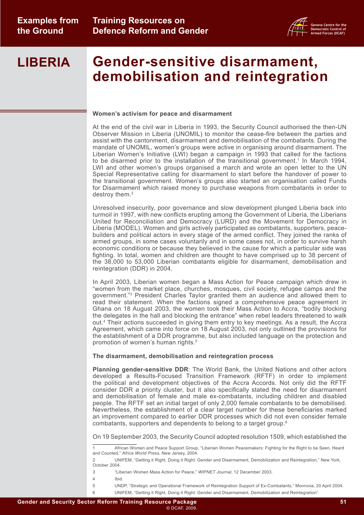

### **Gender-sensitive disarmament, demobilisation and reintegration LIBERIA**

#### **Women's activism for peace and disarmament**

At the end of the civil war in Liberia in 1993, the Security Council authorised the then-UN Observer Mission in Liberia (UNOMIL) to monitor the cease-fire between the parties and assist with the cantonment, disarmament and demobilisation of the combatants. During the mandate of UNOMIL, women's groups were active in organising around disarmament. The Liberian Women's Initiative (LWI) began a campaign in 1993 that called for the factions to be disarmed prior to the installation of the transitional government.<sup>1</sup> In March 1994, LWI and other women's groups organised a march and wrote an open letter to the UN Special Representative calling for disarmament to start before the handover of power to the transitional government. Women's groups also started an organisation called Funds for Disarmament which raised money to purchase weapons from combatants in order to destroy them.<sup>2</sup>

Unresolved insecurity, poor governance and slow development plunged Liberia back into turmoil in 1997, with new conflicts erupting among the Government of Liberia, the Liberians United for Reconciliation and Democracy (LURD) and the Movement for Democracy in Liberia (MODEL). Women and girls actively participated as combatants, supporters, peacebuilders and political actors in every stage of the armed conflict. They joined the ranks of armed groups, in some cases voluntarily and in some cases not, in order to survive harsh economic conditions or because they believed in the cause for which a particular side was fighting. In total, women and children are thought to have comprised up to 38 percent of the 38,000 to 53,000 Liberian combatants eligible for disarmament, demobilisation and reintegration (DDR) in 2004.

In April 2003, Liberian women began a Mass Action for Peace campaign which drew in "women from the market place, churches, mosques, civil society, refugee camps and the government."3 President Charles Taylor granted them an audience and allowed them to read their statement. When the factions signed a comprehensive peace agreement in Ghana on 18 August 2003, the women took their Mass Action to Accra, "bodily blocking the delegates in the hall and blocking the entrance" when rebel leaders threatened to walk out.4 Their actions succeeded in giving them entry to key meetings. As a result, the Accra Agreement, which came into force on 18 August 2003, not only outlined the provisions for the establishment of a DDR programme, but also included language on the protection and promotion of women's human rights.<sup>5</sup>

#### **The disarmament, demobilisation and reintegration process**

**Planning gender-sensitive DDR**: The World Bank, the United Nations and other actors developed a Results-Focused Transition Framework (RFTF) in order to implement the political and development objectives of the Accra Accords. Not only did the RFTF consider DDR a priority cluster, but it also specifically stated the need for disarmament and demobilisation of female and male ex-combatants, including children and disabled people. The RFTF set an initial target of only 2,000 female combatants to be demobilised. Nevertheless, the establishment of a clear target number for these beneficiaries marked an improvement compared to earlier DDR processes which did not even consider female combatants, supporters and dependents to belong to a target group.6

On 19 September 2003, the Security Council adopted resolution 1509, which established the

<sup>1</sup> African Women and Peace Support Group, "Liberian Women Peacemakers: Fighting for the Right to be Seen, Heard and Counted," *Africa World Press*, New Jersey, 2004.

<sup>2</sup> UNIFEM, "Getting it Right, Doing it Right: Gender and Disarmament, Demobilization and Reintegration," New York, October 2004.

<sup>3</sup> "Liberian Women Mass Action for Peace," *WIPNET Journal*, 12 December 2003.

<sup>4</sup> Ibid.

<sup>5</sup> UNDP, "Strategic and Operational Framework of Reintegration Support of Ex-Combatants," Monrovia, 20 April 2004.

<sup>6</sup> UNIFEM, "Getting it Right, Doing it Right: Gender and Disarmament, Demobilization and Reintegration".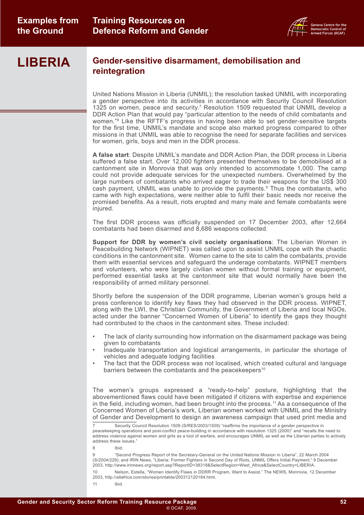

## **LIBERIA Gender-sensitive disarmament, demobilisation and reintegration**

United Nations Mission in Liberia (UNMIL); the resolution tasked UNMIL with incorporating a gender perspective into its activities in accordance with Security Council Resolution 1325 on women, peace and security.7 Resolution 1509 requested that UNMIL develop a DDR Action Plan that would pay "particular attention to the needs of child combatants and women."<sup>8</sup> Like the RFTF's progress in having been able to set gender-sensitive targets for the first time, UNMIL's mandate and scope also marked progress compared to other missions in that UNMIL was able to recognise the need for separate facilities and services for women, girls, boys and men in the DDR process.

**A false start**: Despite UNMIL's mandate and DDR Action Plan, the DDR process in Liberia suffered a false start. Over 12,000 fighters presented themselves to be demobilised at a cantonment site in Monrovia that was only intended to accommodate 1,000. The camp could not provide adequate services for the unexpected numbers. Overwhelmed by the large numbers of combatants who arrived eager to trade their weapons for the US\$ 300 cash payment, UNMIL was unable to provide the payments.<sup>9</sup> Thus the combatants, who came with high expectations, were neither able to fulfil their basic needs nor receive the promised benefits. As a result, riots erupted and many male and female combatants were injured.

The first DDR process was officially suspended on 17 December 2003, after 12,664 combatants had been disarmed and 8,686 weapons collected.

**Support for DDR by women's civil society organisations**: The Liberian Women in Peacebuilding Network (WIPNET) was called upon to assist UNMIL cope with the chaotic conditions in the cantonment site. Women came to the site to calm the combatants, provide them with essential services and safeguard the underage combatants. WIPNET members and volunteers, who were largely civilian women without formal training or equipment, performed essential tasks at the cantonment site that would normally have been the responsibility of armed military personnel.

Shortly before the suspension of the DDR programme, Liberian women's groups held a press conference to identify key flaws they had observed in the DDR process. WIPNET, along with the LWI, the Christian Community, the Government of Liberia and local NGOs, acted under the banner "Concerned Women of Liberia" to identify the gaps they thought had contributed to the chaos in the cantonment sites. These included:

- The lack of clarity surrounding how information on the disarmament package was being given to combatants
- Inadequate transportation and logistical arrangements, in particular the shortage of vehicles and adequate lodging facilities
- The fact that the DDR process was not localised, which created cultural and language barriers between the combatants and the peacekeepers<sup>10</sup>

The women's groups expressed a "ready-to-help" posture, highlighting that the abovementioned flaws could have been mitigated if citizens with expertise and experience in the field, including women, had been brought into the process.<sup>11</sup> As a consequence of the Concerned Women of Liberia's work, Liberian women worked with UNMIL and the Ministry of Gender and Development to design an awareness campaign that used print media and

Security Council Resolution 1509 (S/RES/2003/1509) "reaffirms the importance of a gender perspective in peacekeeping operations and post-conflict peace-building in accordance with resolution 1325 (2000)" and "recalls the need to address violence against women and girls as a tool of warfare, and encourages UNMIL as well as the Liberian parties to actively address these issues."

<sup>8</sup> Ibid.

<sup>9</sup> "Second Progress Report of the Secretary-General on the United Nations Mission in Liberia", 22 March 2004 (S/2004/229); and IRIN News, "Liberia: Former Fighters in Second Day of Riots, UNMIL Offers Initial Payment," 9 December 2003, [http://www.irinnews.org/report.asp?ReportID=38318&SelectRegion=West\\_Africa&SelectCountry=LIBERIA.](http://www.irinnews.org/report.asp?ReportID=38318&SelectRegion=West_Africa&SelectCountry=LIBERIA)

<sup>10</sup> Nelson, Estella, "Women Identify Flaws in DDRR Program, Want to Assist," The NEWS, Monrovia, 12 December 2003, [http://allafrica.com/stories/printable/200312120184.html.](http://allafrica.com/stories/printable/200312120184.html)

<sup>11</sup> Ibid.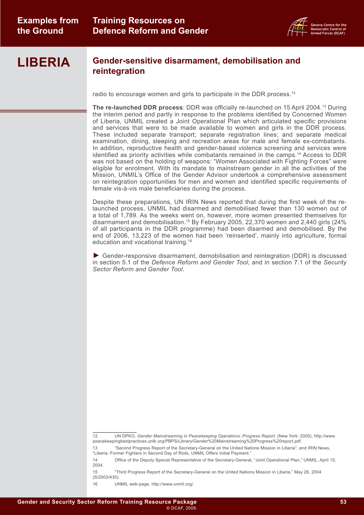

# **LIBERIA Gender-sensitive disarmament, demobilisation and reintegration**

radio to encourage women and girls to participate in the DDR process.12

**The re-launched DDR process**: DDR was officially re-launched on 15 April 2004.13 During the interim period and partly in response to the problems identified by Concerned Women of Liberia, UNMIL created a Joint Operational Plan which articulated specific provisions and services that were to be made available to women and girls in the DDR process. These included separate transport; separate registration lines; and separate medical examination, dining, sleeping and recreation areas for male and female ex-combatants. In addition, reproductive health and gender-based violence screening and services were identified as priority activities while combatants remained in the camps.14 Access to DDR was not based on the holding of weapons: "Women Associated with Fighting Forces" were eligible for enrolment. With its mandate to mainstream gender in all the activities of the Mission, UNMIL's Office of the Gender Advisor undertook a comprehensive assessment on reintegration opportunities for men and women and identified specific requirements of female vis-à-vis male beneficiaries during the process.

Despite these preparations, UN IRIN News reported that during the first week of the relaunched process, UNMIL had disarmed and demobilised fewer than 130 women out of a total of 1,789. As the weeks went on, however, more women presented themselves for disarmament and demobilisation.15 By February 2005, 22,370 women and 2,440 girls (24% of all participants in the DDR programme) had been disarmed and demobilised. By the end of 2006, 13,223 of the women had been 'reinserted', mainly into agriculture, formal education and vocational training.16

► Gender-responsive disarmament, demobilisation and reintegration (DDR) is discussed in section 5.1 of the *[Defence Reform and Gender Tool](http://www.dcaf.ch/publications/kms/details.cfm?ord279=title&q279=gender&lng=en&id=47394&nav1=4)*, and in section 7.1 of the *[Security](http://www.dcaf.ch/publications/kms/details.cfm?ord279=title&q279=gender&lng=en&id=47331&nav1=4)  [Sector Reform and Gender Tool](http://www.dcaf.ch/publications/kms/details.cfm?ord279=title&q279=gender&lng=en&id=47331&nav1=4)*.

<sup>12</sup> UN DPKO, *Gender Mainstreaming in Peacekeeping Operations: Progress Report*, (New York: 2005), [http://www.](http://www.peacekeepingbestpractices.unlb.org/PBPS/Library/Gender%20Mainstreaming%20Progress%20report.pdf) [peacekeepingbestpractices.unlb.org/PBPS/Library/Gender%20Mainstreaming%20Progress%20report.pdf](http://www.peacekeepingbestpractices.unlb.org/PBPS/Library/Gender%20Mainstreaming%20Progress%20report.pdf).

<sup>13</sup> "Second Progress Report of the Secretary-General on the United Nations Mission in Liberia"; and IRIN News, "Liberia: Former Fighters in Second Day of Riots, UNMIL Offers Initial Payment."

<sup>14</sup> Office of the Deputy Special Representative of the Secretary-General, "Joint Operational Plan," UNMIL, April 15, 2004.

<sup>15</sup> "Third Progress Report of the Secretary-General on the United Nations Mission in Liberia," May 26, 2004 (S/2003/430).

<sup>16</sup> UNMIL web-page, [http://www.unmil.org/.](http://www.unmil.org/)